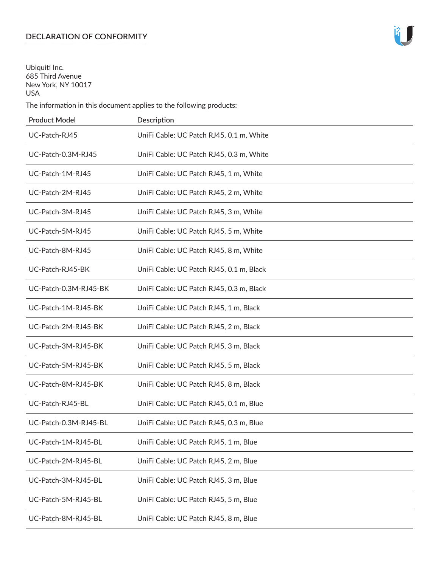# **DECLARATION OF CONFORMITY**

Ubiquiti Inc. 685 Third Avenue New York, NY 10017 USA

The information in this document applies to the following products:

| <b>Product Model</b>  | Description                              |
|-----------------------|------------------------------------------|
| UC-Patch-RJ45         | UniFi Cable: UC Patch RJ45, 0.1 m, White |
| UC-Patch-0.3M-RJ45    | UniFi Cable: UC Patch RJ45, 0.3 m, White |
| UC-Patch-1M-RJ45      | UniFi Cable: UC Patch RJ45, 1 m, White   |
| UC-Patch-2M-RJ45      | UniFi Cable: UC Patch RJ45, 2 m, White   |
| UC-Patch-3M-RJ45      | UniFi Cable: UC Patch RJ45, 3 m, White   |
| UC-Patch-5M-RJ45      | UniFi Cable: UC Patch RJ45, 5 m, White   |
| UC-Patch-8M-RJ45      | UniFi Cable: UC Patch RJ45, 8 m, White   |
| UC-Patch-RJ45-BK      | UniFi Cable: UC Patch RJ45, 0.1 m, Black |
| UC-Patch-0.3M-RJ45-BK | UniFi Cable: UC Patch RJ45, 0.3 m, Black |
| UC-Patch-1M-RJ45-BK   | UniFi Cable: UC Patch RJ45, 1 m, Black   |
| UC-Patch-2M-RJ45-BK   | UniFi Cable: UC Patch RJ45, 2 m, Black   |
| UC-Patch-3M-RJ45-BK   | UniFi Cable: UC Patch RJ45, 3 m, Black   |
| UC-Patch-5M-RJ45-BK   | UniFi Cable: UC Patch RJ45, 5 m, Black   |
| UC-Patch-8M-RJ45-BK   | UniFi Cable: UC Patch RJ45, 8 m, Black   |
| UC-Patch-RJ45-BL      | UniFi Cable: UC Patch RJ45, 0.1 m, Blue  |
| UC-Patch-0.3M-RJ45-BL | UniFi Cable: UC Patch RJ45, 0.3 m, Blue  |
| UC-Patch-1M-RJ45-BL   | UniFi Cable: UC Patch RJ45, 1 m, Blue    |
| UC-Patch-2M-RJ45-BL   | UniFi Cable: UC Patch RJ45, 2 m, Blue    |
| UC-Patch-3M-RJ45-BL   | UniFi Cable: UC Patch RJ45, 3 m, Blue    |
| UC-Patch-5M-RJ45-BL   | UniFi Cable: UC Patch RJ45, 5 m, Blue    |
| UC-Patch-8M-RJ45-BL   | UniFi Cable: UC Patch RJ45, 8 m, Blue    |

łŪ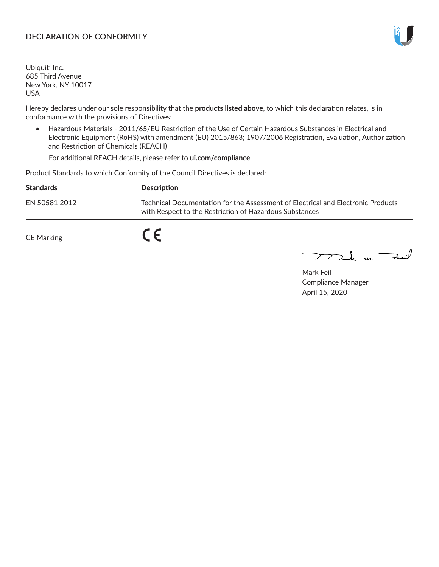# **DECLARATION OF CONFORMITY**

Ubiquiti Inc. 685 Third Avenue New York, NY 10017 USA

Hereby declares under our sole responsibility that the **products listed above**, to which this declaration relates, is in conformance with the provisions of Directives:

• Hazardous Materials - 2011/65/EU Restriction of the Use of Certain Hazardous Substances in Electrical and Electronic Equipment (RoHS) with amendment (EU) 2015/863; 1907/2006 Registration, Evaluation, Authorization and Restriction of Chemicals (REACH)

For additional REACH details, please refer to **[ui.com/compliance](https://www.ui.com/compliance)**

Product Standards to which Conformity of the Council Directives is declared:

| <b>Standards</b>  | <b>Description</b>                                                                                                                          |
|-------------------|---------------------------------------------------------------------------------------------------------------------------------------------|
| EN 50581 2012     | Technical Documentation for the Assessment of Electrical and Electronic Products<br>with Respect to the Restriction of Hazardous Substances |
| <b>CE Marking</b> |                                                                                                                                             |

 $\sum_{n=1}^{\infty}$  un  $\sum_{n=1}^{\infty}$ 

Mark Feil Compliance Manager April 15, 2020

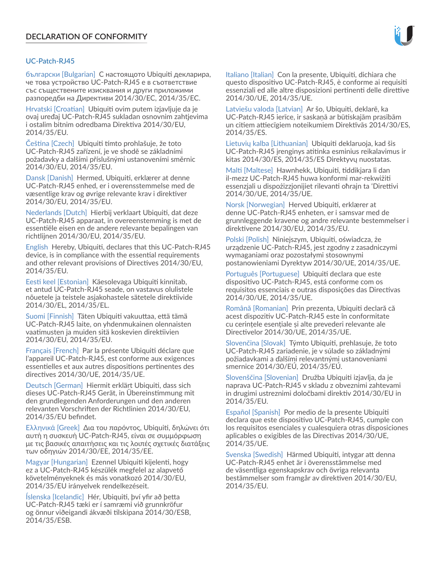# UC‑Patch‑RJ45

български [Bulgarian] С настоящото Ubiquiti декларира, че това устройство UC‑Patch‑RJ45 е в съответствие със съществените изисквания и други приложими разпоредби на Директиви 2014/30/ЕС, 2014/35/ЕС.

Hrvatski [Croatian] Ubiquiti ovim putem izjavljuje da je ovaj uređaj UC‑Patch‑RJ45 sukladan osnovnim zahtjevima i ostalim bitnim odredbama Direktiva 2014/30/EU, 2014/35/EU.

Čeština [Czech] Ubiquiti tímto prohlašuje, že toto UC‑Patch‑RJ45 zařízení, je ve shodě se základními požadavky a dalšími příslušnými ustanoveními směrnic 2014/30/EU, 2014/35/EU.

Dansk [Danish] Hermed, Ubiquiti, erklærer at denne UC‑Patch‑RJ45 enhed, er i overensstemmelse med de væsentlige krav og øvrige relevante krav i direktiver 2014/30/EU, 2014/35/EU.

Nederlands [Dutch] Hierbij verklaart Ubiquiti, dat deze UC‑Patch‑RJ45 apparaat, in overeenstemming is met de essentiële eisen en de andere relevante bepalingen van richtlijnen 2014/30/EU, 2014/35/EU.

English Hereby, Ubiquiti, declares that this UC‑Patch‑RJ45 device, is in compliance with the essential requirements and other relevant provisions of Directives 2014/30/EU, 2014/35/EU.

Eesti keel [Estonian] Käesolevaga Ubiquiti kinnitab, et antud UC‑Patch‑RJ45 seade, on vastavus olulistele nõuetele ja teistele asjakohastele sätetele direktiivide 2014/30/EL, 2014/35/EL.

Suomi [Finnish] Täten Ubiquiti vakuuttaa, että tämä UC‑Patch‑RJ45 laite, on yhdenmukainen olennaisten vaatimusten ja muiden sitä koskevien direktiivien 2014/30/EU, 2014/35/EU.

Français [French] Par la présente Ubiquiti déclare que l'appareil UC-Patch-RJ45, est conforme aux exigences essentielles et aux autres dispositions pertinentes des directives 2014/30/UE, 2014/35/UE.

Deutsch [German] Hiermit erklärt Ubiquiti, dass sich dieses UC‑Patch‑RJ45 Gerät, in Übereinstimmung mit den grundlegenden Anforderungen und den anderen relevanten Vorschriften der Richtlinien 2014/30/EU, 2014/35/EU befindet.

Ελληνικά [Greek] Δια του παρόντος, Ubiquiti, δηλώνει ότι αυτή η συσκευή UC‑Patch‑RJ45, είναι σε συμμόρφωση με τις βασικές απαιτήσεις και τις λοιπές σχετικές διατάξεις των οδηγιών 2014/30/EE, 2014/35/EE.

Magyar [Hungarian] Ezennel Ubiquiti kijelenti, hogy ez a UC‑Patch‑RJ45 készülék megfelel az alapvető követelményeknek és más vonatkozó 2014/30/EU, 2014/35/EU irányelvek rendelkezéseit.

Íslenska [Icelandic] Hér, Ubiquiti, því yfir að þetta UC‑Patch‑RJ45 tæki er í samræmi við grunnkröfur og önnur viðeigandi ákvæði tilskipana 2014/30/ESB, 2014/35/ESB.

Italiano [Italian] Con la presente, Ubiquiti, dichiara che questo dispositivo UC‑Patch‑RJ45, è conforme ai requisiti essenziali ed alle altre disposizioni pertinenti delle direttive 2014/30/UE, 2014/35/UE.

Latviešu valoda [Latvian] Ar šo, Ubiquiti, deklarē, ka UC‑Patch‑RJ45 ierīce, ir saskaņā ar būtiskajām prasībām un citiem attiecīgiem noteikumiem Direktīvās 2014/30/ES, 2014/35/ES.

Lietuvių kalba [Lithuanian] Ubiquiti deklaruoja, kad šis UC‑Patch‑RJ45 įrenginys atitinka esminius reikalavimus ir kitas 2014/30/ES, 2014/35/ES Direktyvų nuostatas.

Malti [Maltese] Hawnhekk, Ubiquiti, tiddikjara li dan il-mezz UC‑Patch‑RJ45 huwa konformi mar-rekwiżiti essenzjali u dispożizzjonijiet rilevanti oħrajn ta 'Direttivi 2014/30/UE, 2014/35/UE.

Norsk [Norwegian] Herved Ubiquiti, erklærer at denne UC‑Patch‑RJ45 enheten, er i samsvar med de grunnleggende kravene og andre relevante bestemmelser i direktivene 2014/30/EU, 2014/35/EU.

Polski [Polish] Niniejszym, Ubiquiti, oświadcza, że urządzenie UC‑Patch‑RJ45, jest zgodny z zasadniczymi wymaganiami oraz pozostałymi stosownymi postanowieniami Dyrektyw 2014/30/UE, 2014/35/UE.

Português [Portuguese] Ubiquiti declara que este dispositivo UC‑Patch‑RJ45, está conforme com os requisitos essenciais e outras disposições das Directivas 2014/30/UE, 2014/35/UE.

Română [Romanian] Prin prezenta, Ubiquiti declară că acest dispozitiv UC‑Patch‑RJ45 este în conformitate cu cerințele esențiale și alte prevederi relevante ale Directivelor 2014/30/UE, 2014/35/UE.

Slovenčina [Slovak] Týmto Ubiquiti, prehlasuje, že toto UC‑Patch‑RJ45 zariadenie, je v súlade so základnými požiadavkami a ďalšími relevantnými ustanoveniami smernice 2014/30/EÚ, 2014/35/EÚ.

Slovenščina [Slovenian] Družba Ubiquiti izjavlja, da je naprava UC‑Patch‑RJ45 v skladu z obveznimi zahtevami in drugimi ustreznimi določbami direktiv 2014/30/EU in 2014/35/EU.

Español [Spanish] Por medio de la presente Ubiquiti declara que este dispositivo UC‑Patch‑RJ45, cumple con los requisitos esenciales y cualesquiera otras disposiciones aplicables o exigibles de las Directivas 2014/30/UE, 2014/35/UE.

Svenska [Swedish] Härmed Ubiquiti, intygar att denna UC‑Patch‑RJ45 enhet är i överensstämmelse med de väsentliga egenskapskrav och övriga relevanta bestämmelser som framgår av direktiven 2014/30/EU, 2014/35/EU.

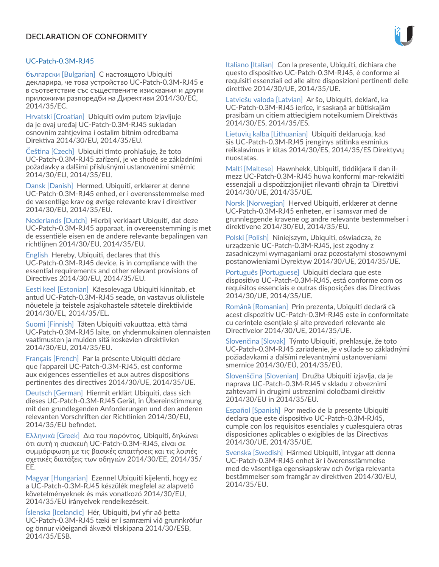# UC-Patch-0.3M-RJ45

български [Bulgarian] С настоящото Ubiquiti декларира, че това устройство UC-Patch-0.3M-RJ45 е в съответствие със съществените изисквания и други приложими разпоредби на Директиви 2014/30/ЕС, 2014/35/ЕС.

Hrvatski [Croatian] Ubiquiti ovim putem izjavljuje da je ovaj uređaj UC-Patch-0.3M-RJ45 sukladan osnovnim zahtjevima i ostalim bitnim odredbama Direktiva 2014/30/EU, 2014/35/EU.

Čeština [Czech] Ubiquiti tímto prohlašuje, že toto UC-Patch-0.3M-RJ45 zařízení, je ve shodě se základními požadavky a dalšími příslušnými ustanoveními směrnic 2014/30/EU, 2014/35/EU.

Dansk [Danish] Hermed, Ubiquiti, erklærer at denne UC-Patch-0.3M-RJ45 enhed, er i overensstemmelse med de væsentlige krav og øvrige relevante krav i direktiver 2014/30/EU, 2014/35/EU.

Nederlands [Dutch] Hierbij verklaart Ubiquiti, dat deze UC-Patch-0.3M-RJ45 apparaat, in overeenstemming is met de essentiële eisen en de andere relevante bepalingen van richtlijnen 2014/30/EU, 2014/35/EU.

English Hereby, Ubiquiti, declares that this UC-Patch-0.3M-RJ45 device, is in compliance with the essential requirements and other relevant provisions of Directives 2014/30/EU, 2014/35/EU.

Eesti keel [Estonian] Käesolevaga Ubiquiti kinnitab, et antud UC-Patch-0.3M-RJ45 seade, on vastavus olulistele nõuetele ja teistele asjakohastele sätetele direktiivide 2014/30/EL, 2014/35/EL.

Suomi [Finnish] Täten Ubiquiti vakuuttaa, että tämä UC-Patch-0.3M-RJ45 laite, on yhdenmukainen olennaisten vaatimusten ja muiden sitä koskevien direktiivien 2014/30/EU, 2014/35/EU.

Français [French] Par la présente Ubiquiti déclare que l'appareil UC-Patch-0.3M-RJ45, est conforme aux exigences essentielles et aux autres dispositions pertinentes des directives 2014/30/UE, 2014/35/UE.

Deutsch [German] Hiermit erklärt Ubiquiti, dass sich dieses UC-Patch-0.3M-RJ45 Gerät, in Übereinstimmung mit den grundlegenden Anforderungen und den anderen relevanten Vorschriften der Richtlinien 2014/30/EU, 2014/35/EU befindet.

Ελληνικά [Greek] Δια του παρόντος, Ubiquiti, δηλώνει ότι αυτή η συσκευή UC-Patch-0.3M-RJ45, είναι σε συμμόρφωση με τις βασικές απαιτήσεις και τις λοιπές σχετικές διατάξεις των οδηγιών 2014/30/EE, 2014/35/ EE.

Magyar [Hungarian] Ezennel Ubiquiti kijelenti, hogy ez a UC-Patch-0.3M-RJ45 készülék megfelel az alapvető követelményeknek és más vonatkozó 2014/30/EU, 2014/35/EU irányelvek rendelkezéseit.

Íslenska [Icelandic] Hér, Ubiquiti, því yfir að þetta UC-Patch-0.3M-RJ45 tæki er í samræmi við grunnkröfur og önnur viðeigandi ákvæði tilskipana 2014/30/ESB, 2014/35/ESB.

Italiano [Italian] Con la presente, Ubiquiti, dichiara che questo dispositivo UC-Patch-0.3M-RJ45, è conforme ai requisiti essenziali ed alle altre disposizioni pertinenti delle direttive 2014/30/UE, 2014/35/UE.

Latviešu valoda [Latvian] Ar šo, Ubiquiti, deklarē, ka UC-Patch-0.3M-RJ45 ierīce, ir saskaņā ar būtiskajām prasībām un citiem attiecīgiem noteikumiem Direktīvās 2014/30/ES, 2014/35/ES.

Lietuvių kalba [Lithuanian] Ubiquiti deklaruoja, kad šis UC-Patch-0.3M-RJ45 įrenginys atitinka esminius reikalavimus ir kitas 2014/30/ES, 2014/35/ES Direktyvų nuostatas.

Malti [Maltese] Hawnhekk, Ubiquiti, tiddikjara li dan ilmezz UC-Patch-0.3M-RJ45 huwa konformi mar-rekwiżiti essenzjali u dispożizzjonijiet rilevanti oħrajn ta 'Direttivi 2014/30/UE, 2014/35/UE.

Norsk [Norwegian] Herved Ubiquiti, erklærer at denne UC-Patch-0.3M-RJ45 enheten, er i samsvar med de grunnleggende kravene og andre relevante bestemmelser i direktivene 2014/30/EU, 2014/35/EU.

Polski [Polish] Niniejszym, Ubiquiti, oświadcza, że urządzenie UC-Patch-0.3M-RJ45, jest zgodny z zasadniczymi wymaganiami oraz pozostałymi stosownymi postanowieniami Dyrektyw 2014/30/UE, 2014/35/UE.

Português [Portuguese] Ubiquiti declara que este dispositivo UC-Patch-0.3M-RJ45, está conforme com os requisitos essenciais e outras disposições das Directivas 2014/30/UE, 2014/35/UE.

Română [Romanian] Prin prezenta, Ubiquiti declară că acest dispozitiv UC-Patch-0.3M-RJ45 este în conformitate cu cerințele esențiale și alte prevederi relevante ale Directivelor 2014/30/UE, 2014/35/UE.

Slovenčina [Slovak] Týmto Ubiquiti, prehlasuje, že toto UC-Patch-0.3M-RJ45 zariadenie, je v súlade so základnými požiadavkami a ďalšími relevantnými ustanoveniami smernice 2014/30/EÚ, 2014/35/EÚ.

Slovenščina [Slovenian] Družba Ubiquiti izjavlja, da je naprava UC-Patch-0.3M-RJ45 v skladu z obveznimi zahtevami in drugimi ustreznimi določbami direktiv 2014/30/EU in 2014/35/EU.

Español [Spanish] Por medio de la presente Ubiquiti declara que este dispositivo UC-Patch-0.3M-RJ45, cumple con los requisitos esenciales y cualesquiera otras disposiciones aplicables o exigibles de las Directivas 2014/30/UE, 2014/35/UE.

Svenska [Swedish] Härmed Ubiquiti, intygar att denna UC-Patch-0.3M-RJ45 enhet är i överensstämmelse med de väsentliga egenskapskrav och övriga relevanta bestämmelser som framgår av direktiven 2014/30/EU, 2014/35/EU.

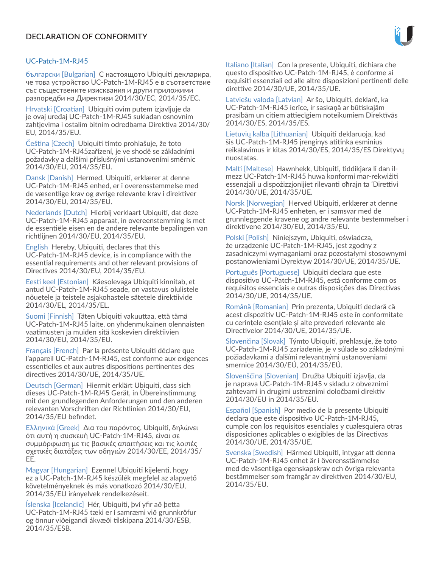# UC-Patch-1M-RJ45

български [Bulgarian] С настоящото Ubiquiti декларира, че това устройство UC-Patch-1M-RJ45 е в съответствие със съществените изисквания и други приложими разпоредби на Директиви 2014/30/ЕС, 2014/35/ЕС.

Hrvatski [Croatian] Ubiquiti ovim putem izjavljuje da je ovaj uređaj UC-Patch-1M-RJ45 sukladan osnovnim zahtjevima i ostalim bitnim odredbama Direktiva 2014/30/ EU, 2014/35/EU.

Čeština [Czech] Ubiquiti tímto prohlašuje, že toto UC-Patch-1M-RJ45zařízení, je ve shodě se základními požadavky a dalšími příslušnými ustanoveními směrnic 2014/30/EU, 2014/35/EU.

Dansk [Danish] Hermed, Ubiquiti, erklærer at denne UC-Patch-1M-RJ45 enhed, er i overensstemmelse med de væsentlige krav og øvrige relevante krav i direktiver 2014/30/EU, 2014/35/EU.

Nederlands [Dutch] Hierbij verklaart Ubiquiti, dat deze UC-Patch-1M-RJ45 apparaat, in overeenstemming is met de essentiële eisen en de andere relevante bepalingen van richtlijnen 2014/30/EU, 2014/35/EU.

English Hereby, Ubiquiti, declares that this UC-Patch-1M-RJ45 device, is in compliance with the essential requirements and other relevant provisions of Directives 2014/30/EU, 2014/35/EU.

Eesti keel [Estonian] Käesolevaga Ubiquiti kinnitab, et antud UC-Patch-1M-RJ45 seade, on vastavus olulistele nõuetele ja teistele asjakohastele sätetele direktiivide 2014/30/EL, 2014/35/EL.

Suomi [Finnish] Täten Ubiquiti vakuuttaa, että tämä UC-Patch-1M-RJ45 laite, on yhdenmukainen olennaisten vaatimusten ja muiden sitä koskevien direktiivien 2014/30/EU, 2014/35/EU.

Français [French] Par la présente Ubiquiti déclare que l'appareil UC-Patch-1M-RJ45, est conforme aux exigences essentielles et aux autres dispositions pertinentes des directives 2014/30/UE, 2014/35/UE.

Deutsch [German] Hiermit erklärt Ubiquiti, dass sich dieses UC-Patch-1M-RJ45 Gerät, in Übereinstimmung mit den grundlegenden Anforderungen und den anderen relevanten Vorschriften der Richtlinien 2014/30/EU, 2014/35/EU befindet.

Ελληνικά [Greek] Δια του παρόντος, Ubiquiti, δηλώνει ότι αυτή η συσκευή UC-Patch-1M-RJ45, είναι σε συμμόρφωση με τις βασικές απαιτήσεις και τις λοιπές σχετικές διατάξεις των οδηγιών 2014/30/EE, 2014/35/ EE.

Magyar [Hungarian] Ezennel Ubiquiti kijelenti, hogy ez a UC-Patch-1M-RJ45 készülék megfelel az alapvető követelményeknek és más vonatkozó 2014/30/EU, 2014/35/EU irányelvek rendelkezéseit.

Íslenska [Icelandic] Hér, Ubiquiti, því yfir að þetta UC-Patch-1M-RJ45 tæki er í samræmi við grunnkröfur og önnur viðeigandi ákvæði tilskipana 2014/30/ESB, 2014/35/ESB.

Italiano [Italian] Con la presente, Ubiquiti, dichiara che questo dispositivo UC-Patch-1M-RJ45, è conforme ai requisiti essenziali ed alle altre disposizioni pertinenti delle direttive 2014/30/UE, 2014/35/UE.

Latviešu valoda [Latvian] Ar šo, Ubiquiti, deklarē, ka UC-Patch-1M-RJ45 ierīce, ir saskaņā ar būtiskajām prasībām un citiem attiecīgiem noteikumiem Direktīvās 2014/30/ES, 2014/35/ES.

Lietuvių kalba [Lithuanian] Ubiquiti deklaruoja, kad šis UC-Patch-1M-RJ45 įrenginys atitinka esminius reikalavimus ir kitas 2014/30/ES, 2014/35/ES Direktyvų nuostatas.

Malti [Maltese] Hawnhekk, Ubiquiti, tiddikjara li dan ilmezz UC-Patch-1M-RJ45 huwa konformi mar-rekwiżiti essenzjali u dispożizzjonijiet rilevanti oħrajn ta 'Direttivi 2014/30/UE, 2014/35/UE.

Norsk [Norwegian] Herved Ubiquiti, erklærer at denne UC-Patch-1M-RJ45 enheten, er i samsvar med de grunnleggende kravene og andre relevante bestemmelser i direktivene 2014/30/EU, 2014/35/EU.

Polski [Polish] Niniejszym, Ubiquiti, oświadcza, że urządzenie UC-Patch-1M-RJ45, jest zgodny z zasadniczymi wymaganiami oraz pozostałymi stosownymi postanowieniami Dyrektyw 2014/30/UE, 2014/35/UE.

Português [Portuguese] Ubiquiti declara que este dispositivo UC-Patch-1M-RJ45, está conforme com os requisitos essenciais e outras disposições das Directivas 2014/30/UE, 2014/35/UE.

Română [Romanian] Prin prezenta, Ubiquiti declară că acest dispozitiv UC-Patch-1M-RJ45 este în conformitate cu cerințele esențiale și alte prevederi relevante ale Directivelor 2014/30/UE, 2014/35/UE.

Slovenčina [Slovak] Týmto Ubiquiti, prehlasuje, že toto UC-Patch-1M-RJ45 zariadenie, je v súlade so základnými požiadavkami a ďalšími relevantnými ustanoveniami smernice 2014/30/EÚ, 2014/35/EÚ.

Slovenščina [Slovenian] Družba Ubiquiti izjavlja, da je naprava UC-Patch-1M-RJ45 v skladu z obveznimi zahtevami in drugimi ustreznimi določbami direktiv 2014/30/EU in 2014/35/EU.

Español [Spanish] Por medio de la presente Ubiquiti declara que este dispositivo UC-Patch-1M-RJ45, cumple con los requisitos esenciales y cualesquiera otras disposiciones aplicables o exigibles de las Directivas 2014/30/UE, 2014/35/UE.

Svenska [Swedish] Härmed Ubiquiti, intygar att denna UC-Patch-1M-RJ45 enhet är i överensstämmelse med de väsentliga egenskapskrav och övriga relevanta bestämmelser som framgår av direktiven 2014/30/EU, 2014/35/EU.

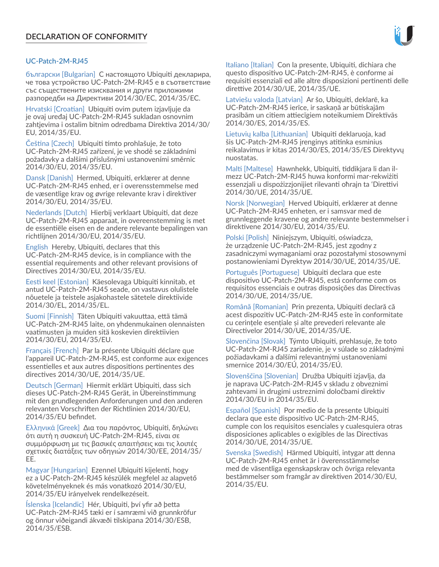#### UC-Patch-2M-RJ45

български [Bulgarian] С настоящото Ubiquiti декларира, че това устройство UC-Patch-2M-RJ45 е в съответствие със съществените изисквания и други приложими разпоредби на Директиви 2014/30/ЕС, 2014/35/ЕС.

Hrvatski [Croatian] Ubiquiti ovim putem izjavljuje da je ovaj uređaj UC-Patch-2M-RJ45 sukladan osnovnim zahtjevima i ostalim bitnim odredbama Direktiva 2014/30/ EU, 2014/35/EU.

Čeština [Czech] Ubiquiti tímto prohlašuje, že toto UC-Patch-2M-RJ45 zařízení, je ve shodě se základními požadavky a dalšími příslušnými ustanoveními směrnic 2014/30/EU, 2014/35/EU.

Dansk [Danish] Hermed, Ubiquiti, erklærer at denne UC-Patch-2M-RJ45 enhed, er i overensstemmelse med de væsentlige krav og øvrige relevante krav i direktiver 2014/30/EU, 2014/35/EU.

Nederlands [Dutch] Hierbij verklaart Ubiquiti, dat deze UC-Patch-2M-RJ45 apparaat, in overeenstemming is met de essentiële eisen en de andere relevante bepalingen van richtlijnen 2014/30/EU, 2014/35/EU.

English Hereby, Ubiquiti, declares that this UC-Patch-2M-RJ45 device, is in compliance with the essential requirements and other relevant provisions of Directives 2014/30/EU, 2014/35/EU.

Eesti keel [Estonian] Käesolevaga Ubiquiti kinnitab, et antud UC-Patch-2M-RJ45 seade, on vastavus olulistele nõuetele ja teistele asjakohastele sätetele direktiivide 2014/30/EL, 2014/35/EL.

Suomi [Finnish] Täten Ubiquiti vakuuttaa, että tämä UC-Patch-2M-RJ45 laite, on yhdenmukainen olennaisten vaatimusten ja muiden sitä koskevien direktiivien 2014/30/EU, 2014/35/EU.

Français [French] Par la présente Ubiquiti déclare que l'appareil UC-Patch-2M-RJ45, est conforme aux exigences essentielles et aux autres dispositions pertinentes des directives 2014/30/UE, 2014/35/UE.

Deutsch [German] Hiermit erklärt Ubiquiti, dass sich dieses UC-Patch-2M-RJ45 Gerät, in Übereinstimmung mit den grundlegenden Anforderungen und den anderen relevanten Vorschriften der Richtlinien 2014/30/EU, 2014/35/EU befindet.

Ελληνικά [Greek] Δια του παρόντος, Ubiquiti, δηλώνει ότι αυτή η συσκευή UC-Patch-2M-RJ45, είναι σε συμμόρφωση με τις βασικές απαιτήσεις και τις λοιπές σχετικές διατάξεις των οδηγιών 2014/30/EE, 2014/35/ EE.

Magyar [Hungarian] Ezennel Ubiquiti kijelenti, hogy ez a UC-Patch-2M-RJ45 készülék megfelel az alapvető követelményeknek és más vonatkozó 2014/30/EU, 2014/35/EU irányelvek rendelkezéseit.

Íslenska [Icelandic] Hér, Ubiquiti, því yfir að þetta UC-Patch-2M-RJ45 tæki er í samræmi við grunnkröfur og önnur viðeigandi ákvæði tilskipana 2014/30/ESB, 2014/35/ESB.

Italiano [Italian] Con la presente, Ubiquiti, dichiara che questo dispositivo UC-Patch-2M-RJ45, è conforme ai requisiti essenziali ed alle altre disposizioni pertinenti delle direttive 2014/30/UE, 2014/35/UE.

Latviešu valoda [Latvian] Ar šo, Ubiquiti, deklarē, ka UC-Patch-2M-RJ45 ierīce, ir saskaņā ar būtiskajām prasībām un citiem attiecīgiem noteikumiem Direktīvās 2014/30/ES, 2014/35/ES.

Lietuvių kalba [Lithuanian] Ubiquiti deklaruoja, kad šis UC-Patch-2M-RJ45 įrenginys atitinka esminius reikalavimus ir kitas 2014/30/ES, 2014/35/ES Direktyvų nuostatas.

Malti [Maltese] Hawnhekk, Ubiquiti, tiddikjara li dan ilmezz UC-Patch-2M-RJ45 huwa konformi mar-rekwiżiti essenzjali u dispożizzjonijiet rilevanti oħrajn ta 'Direttivi 2014/30/UE, 2014/35/UE.

Norsk [Norwegian] Herved Ubiquiti, erklærer at denne UC-Patch-2M-RJ45 enheten, er i samsvar med de grunnleggende kravene og andre relevante bestemmelser i direktivene 2014/30/EU, 2014/35/EU.

Polski [Polish] Niniejszym, Ubiquiti, oświadcza, że urządzenie UC-Patch-2M-RJ45, jest zgodny z zasadniczymi wymaganiami oraz pozostałymi stosownymi postanowieniami Dyrektyw 2014/30/UE, 2014/35/UE.

Português [Portuguese] Ubiquiti declara que este dispositivo UC-Patch-2M-RJ45, está conforme com os requisitos essenciais e outras disposições das Directivas 2014/30/UE, 2014/35/UE.

Română [Romanian] Prin prezenta, Ubiquiti declară că acest dispozitiv UC-Patch-2M-RJ45 este în conformitate cu cerințele esențiale și alte prevederi relevante ale Directivelor 2014/30/UE, 2014/35/UE.

Slovenčina [Slovak] Týmto Ubiquiti, prehlasuje, že toto UC-Patch-2M-RJ45 zariadenie, je v súlade so základnými požiadavkami a ďalšími relevantnými ustanoveniami smernice 2014/30/EÚ, 2014/35/EÚ.

Slovenščina [Slovenian] Družba Ubiquiti izjavlja, da je naprava UC-Patch-2M-RJ45 v skladu z obveznimi zahtevami in drugimi ustreznimi določbami direktiv 2014/30/EU in 2014/35/EU.

Español [Spanish] Por medio de la presente Ubiquiti declara que este dispositivo UC-Patch-2M-RJ45, cumple con los requisitos esenciales y cualesquiera otras disposiciones aplicables o exigibles de las Directivas 2014/30/UE, 2014/35/UE.

Svenska [Swedish] Härmed Ubiquiti, intygar att denna UC-Patch-2M-RJ45 enhet är i överensstämmelse med de väsentliga egenskapskrav och övriga relevanta bestämmelser som framgår av direktiven 2014/30/EU, 2014/35/EU.

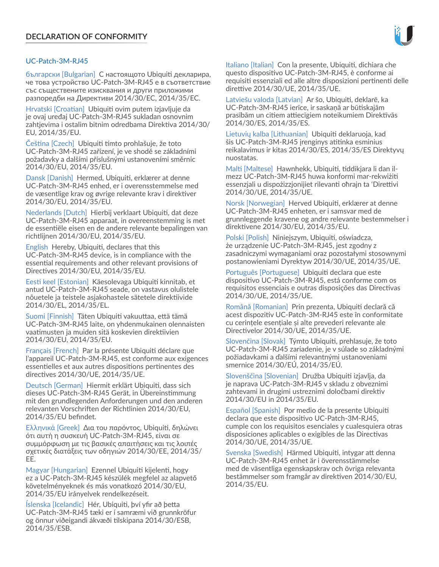#### UC-Patch-3M-RJ45

български [Bulgarian] С настоящото Ubiquiti декларира, че това устройство UC-Patch-3M-RJ45 е в съответствие със съществените изисквания и други приложими разпоредби на Директиви 2014/30/ЕС, 2014/35/ЕС.

Hrvatski [Croatian] Ubiquiti ovim putem izjavljuje da je ovaj uređaj UC-Patch-3M-RJ45 sukladan osnovnim zahtjevima i ostalim bitnim odredbama Direktiva 2014/30/ EU, 2014/35/EU.

Čeština [Czech] Ubiquiti tímto prohlašuje, že toto UC-Patch-3M-RJ45 zařízení, je ve shodě se základními požadavky a dalšími příslušnými ustanoveními směrnic 2014/30/EU, 2014/35/EU.

Dansk [Danish] Hermed, Ubiquiti, erklærer at denne UC-Patch-3M-RJ45 enhed, er i overensstemmelse med de væsentlige krav og øvrige relevante krav i direktiver 2014/30/EU, 2014/35/EU.

Nederlands [Dutch] Hierbij verklaart Ubiquiti, dat deze UC-Patch-3M-RJ45 apparaat, in overeenstemming is met de essentiële eisen en de andere relevante bepalingen van richtlijnen 2014/30/EU, 2014/35/EU.

English Hereby, Ubiquiti, declares that this UC-Patch-3M-RJ45 device, is in compliance with the essential requirements and other relevant provisions of Directives 2014/30/EU, 2014/35/EU.

Eesti keel [Estonian] Käesolevaga Ubiquiti kinnitab, et antud UC-Patch-3M-RJ45 seade, on vastavus olulistele nõuetele ja teistele asjakohastele sätetele direktiivide 2014/30/EL, 2014/35/EL.

Suomi [Finnish] Täten Ubiquiti vakuuttaa, että tämä UC-Patch-3M-RJ45 laite, on yhdenmukainen olennaisten vaatimusten ja muiden sitä koskevien direktiivien 2014/30/EU, 2014/35/EU.

Français [French] Par la présente Ubiquiti déclare que l'appareil UC-Patch-3M-RJ45, est conforme aux exigences essentielles et aux autres dispositions pertinentes des directives 2014/30/UE, 2014/35/UE.

Deutsch [German] Hiermit erklärt Ubiquiti, dass sich dieses UC-Patch-3M-RJ45 Gerät, in Übereinstimmung mit den grundlegenden Anforderungen und den anderen relevanten Vorschriften der Richtlinien 2014/30/EU, 2014/35/EU befindet.

Ελληνικά [Greek] Δια του παρόντος, Ubiquiti, δηλώνει ότι αυτή η συσκευή UC-Patch-3M-RJ45, είναι σε συμμόρφωση με τις βασικές απαιτήσεις και τις λοιπές σχετικές διατάξεις των οδηγιών 2014/30/EE, 2014/35/ EE.

Magyar [Hungarian] Ezennel Ubiquiti kijelenti, hogy ez a UC-Patch-3M-RJ45 készülék megfelel az alapvető követelményeknek és más vonatkozó 2014/30/EU, 2014/35/EU irányelvek rendelkezéseit.

Íslenska [Icelandic] Hér, Ubiquiti, því yfir að þetta UC-Patch-3M-RJ45 tæki er í samræmi við grunnkröfur og önnur viðeigandi ákvæði tilskipana 2014/30/ESB, 2014/35/ESB.

Italiano [Italian] Con la presente, Ubiquiti, dichiara che questo dispositivo UC-Patch-3M-RJ45, è conforme ai requisiti essenziali ed alle altre disposizioni pertinenti delle direttive 2014/30/UE, 2014/35/UE.

Latviešu valoda [Latvian] Ar šo, Ubiquiti, deklarē, ka UC-Patch-3M-RJ45 ierīce, ir saskaņā ar būtiskajām prasībām un citiem attiecīgiem noteikumiem Direktīvās 2014/30/ES, 2014/35/ES.

Lietuvių kalba [Lithuanian] Ubiquiti deklaruoja, kad šis UC-Patch-3M-RJ45 įrenginys atitinka esminius reikalavimus ir kitas 2014/30/ES, 2014/35/ES Direktyvų nuostatas.

Malti [Maltese] Hawnhekk, Ubiquiti, tiddikjara li dan ilmezz UC-Patch-3M-RJ45 huwa konformi mar-rekwiżiti essenzjali u dispożizzjonijiet rilevanti oħrajn ta 'Direttivi 2014/30/UE, 2014/35/UE.

Norsk [Norwegian] Herved Ubiquiti, erklærer at denne UC-Patch-3M-RJ45 enheten, er i samsvar med de grunnleggende kravene og andre relevante bestemmelser i direktivene 2014/30/EU, 2014/35/EU.

Polski [Polish] Niniejszym, Ubiquiti, oświadcza, że urządzenie UC-Patch-3M-RJ45, jest zgodny z zasadniczymi wymaganiami oraz pozostałymi stosownymi postanowieniami Dyrektyw 2014/30/UE, 2014/35/UE.

Português [Portuguese] Ubiquiti declara que este dispositivo UC-Patch-3M-RJ45, está conforme com os requisitos essenciais e outras disposições das Directivas 2014/30/UE, 2014/35/UE.

Română [Romanian] Prin prezenta, Ubiquiti declară că acest dispozitiv UC-Patch-3M-RJ45 este în conformitate cu cerințele esențiale și alte prevederi relevante ale Directivelor 2014/30/UE, 2014/35/UE.

Slovenčina [Slovak] Týmto Ubiquiti, prehlasuje, že toto UC-Patch-3M-RJ45 zariadenie, je v súlade so základnými požiadavkami a ďalšími relevantnými ustanoveniami smernice 2014/30/EÚ, 2014/35/EÚ.

Slovenščina [Slovenian] Družba Ubiquiti izjavlja, da je naprava UC-Patch-3M-RJ45 v skladu z obveznimi zahtevami in drugimi ustreznimi določbami direktiv 2014/30/EU in 2014/35/EU.

Español [Spanish] Por medio de la presente Ubiquiti declara que este dispositivo UC-Patch-3M-RJ45, cumple con los requisitos esenciales y cualesquiera otras disposiciones aplicables o exigibles de las Directivas 2014/30/UE, 2014/35/UE.

Svenska [Swedish] Härmed Ubiquiti, intygar att denna UC-Patch-3M-RJ45 enhet är i överensstämmelse med de väsentliga egenskapskrav och övriga relevanta bestämmelser som framgår av direktiven 2014/30/EU, 2014/35/EU.

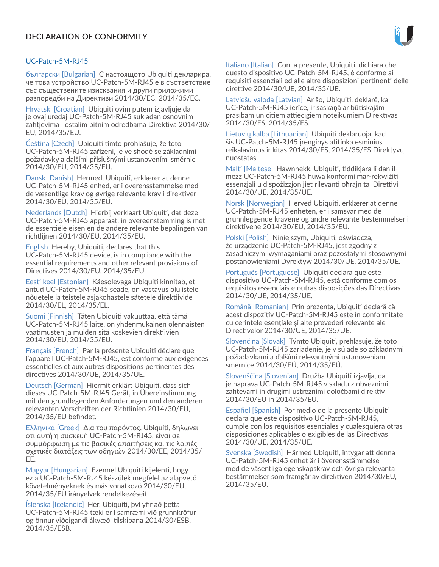#### UC-Patch-5M-RJ45

български [Bulgarian] С настоящото Ubiquiti декларира, че това устройство UC-Patch-5M-RJ45 е в съответствие със съществените изисквания и други приложими разпоредби на Директиви 2014/30/ЕС, 2014/35/ЕС.

Hrvatski [Croatian] Ubiquiti ovim putem izjavljuje da je ovaj uređaj UC-Patch-5M-RJ45 sukladan osnovnim zahtjevima i ostalim bitnim odredbama Direktiva 2014/30/ EU, 2014/35/EU.

Čeština [Czech] Ubiquiti tímto prohlašuje, že toto UC-Patch-5M-RJ45 zařízení, je ve shodě se základními požadavky a dalšími příslušnými ustanoveními směrnic 2014/30/EU, 2014/35/EU.

Dansk [Danish] Hermed, Ubiquiti, erklærer at denne UC-Patch-5M-RJ45 enhed, er i overensstemmelse med de væsentlige krav og øvrige relevante krav i direktiver 2014/30/EU, 2014/35/EU.

Nederlands [Dutch] Hierbij verklaart Ubiquiti, dat deze UC-Patch-5M-RJ45 apparaat, in overeenstemming is met de essentiële eisen en de andere relevante bepalingen van richtlijnen 2014/30/EU, 2014/35/EU.

English Hereby, Ubiquiti, declares that this UC-Patch-5M-RJ45 device, is in compliance with the essential requirements and other relevant provisions of Directives 2014/30/EU, 2014/35/EU.

Eesti keel [Estonian] Käesolevaga Ubiquiti kinnitab, et antud UC-Patch-5M-RJ45 seade, on vastavus olulistele nõuetele ja teistele asjakohastele sätetele direktiivide 2014/30/EL, 2014/35/EL.

Suomi [Finnish] Täten Ubiquiti vakuuttaa, että tämä UC-Patch-5M-RJ45 laite, on yhdenmukainen olennaisten vaatimusten ja muiden sitä koskevien direktiivien 2014/30/EU, 2014/35/EU.

Français [French] Par la présente Ubiquiti déclare que l'appareil UC-Patch-5M-RJ45, est conforme aux exigences essentielles et aux autres dispositions pertinentes des directives 2014/30/UE, 2014/35/UE.

Deutsch [German] Hiermit erklärt Ubiquiti, dass sich dieses UC-Patch-5M-RJ45 Gerät, in Übereinstimmung mit den grundlegenden Anforderungen und den anderen relevanten Vorschriften der Richtlinien 2014/30/EU, 2014/35/EU befindet.

Ελληνικά [Greek] Δια του παρόντος, Ubiquiti, δηλώνει ότι αυτή η συσκευή UC-Patch-5M-RJ45, είναι σε συμμόρφωση με τις βασικές απαιτήσεις και τις λοιπές σχετικές διατάξεις των οδηγιών 2014/30/EE, 2014/35/ EE.

Magyar [Hungarian] Ezennel Ubiquiti kijelenti, hogy ez a UC-Patch-5M-RJ45 készülék megfelel az alapvető követelményeknek és más vonatkozó 2014/30/EU, 2014/35/EU irányelvek rendelkezéseit.

Íslenska [Icelandic] Hér, Ubiquiti, því yfir að þetta UC-Patch-5M-RJ45 tæki er í samræmi við grunnkröfur og önnur viðeigandi ákvæði tilskipana 2014/30/ESB, 2014/35/ESB.

Italiano [Italian] Con la presente, Ubiquiti, dichiara che questo dispositivo UC-Patch-5M-RJ45, è conforme ai requisiti essenziali ed alle altre disposizioni pertinenti delle direttive 2014/30/UE, 2014/35/UE.

Latviešu valoda [Latvian] Ar šo, Ubiquiti, deklarē, ka UC-Patch-5M-RJ45 ierīce, ir saskaņā ar būtiskajām prasībām un citiem attiecīgiem noteikumiem Direktīvās 2014/30/ES, 2014/35/ES.

Lietuvių kalba [Lithuanian] Ubiquiti deklaruoja, kad šis UC-Patch-5M-RJ45 įrenginys atitinka esminius reikalavimus ir kitas 2014/30/ES, 2014/35/ES Direktyvų nuostatas.

Malti [Maltese] Hawnhekk, Ubiquiti, tiddikjara li dan ilmezz UC-Patch-5M-RJ45 huwa konformi mar-rekwiżiti essenzjali u dispożizzjonijiet rilevanti oħrajn ta 'Direttivi 2014/30/UE, 2014/35/UE.

Norsk [Norwegian] Herved Ubiquiti, erklærer at denne UC-Patch-5M-RJ45 enheten, er i samsvar med de grunnleggende kravene og andre relevante bestemmelser i direktivene 2014/30/EU, 2014/35/EU.

Polski [Polish] Niniejszym, Ubiquiti, oświadcza, że urządzenie UC-Patch-5M-RJ45, jest zgodny z zasadniczymi wymaganiami oraz pozostałymi stosownymi postanowieniami Dyrektyw 2014/30/UE, 2014/35/UE.

Português [Portuguese] Ubiquiti declara que este dispositivo UC-Patch-5M-RJ45, está conforme com os requisitos essenciais e outras disposições das Directivas 2014/30/UE, 2014/35/UE.

Română [Romanian] Prin prezenta, Ubiquiti declară că acest dispozitiv UC-Patch-5M-RJ45 este în conformitate cu cerințele esențiale și alte prevederi relevante ale Directivelor 2014/30/UE, 2014/35/UE.

Slovenčina [Slovak] Týmto Ubiquiti, prehlasuje, že toto UC-Patch-5M-RJ45 zariadenie, je v súlade so základnými požiadavkami a ďalšími relevantnými ustanoveniami smernice 2014/30/EÚ, 2014/35/EÚ.

Slovenščina [Slovenian] Družba Ubiquiti izjavlja, da je naprava UC-Patch-5M-RJ45 v skladu z obveznimi zahtevami in drugimi ustreznimi določbami direktiv 2014/30/EU in 2014/35/EU.

Español [Spanish] Por medio de la presente Ubiquiti declara que este dispositivo UC-Patch-5M-RJ45, cumple con los requisitos esenciales y cualesquiera otras disposiciones aplicables o exigibles de las Directivas 2014/30/UE, 2014/35/UE.

Svenska [Swedish] Härmed Ubiquiti, intygar att denna UC-Patch-5M-RJ45 enhet är i överensstämmelse med de väsentliga egenskapskrav och övriga relevanta bestämmelser som framgår av direktiven 2014/30/EU, 2014/35/EU.

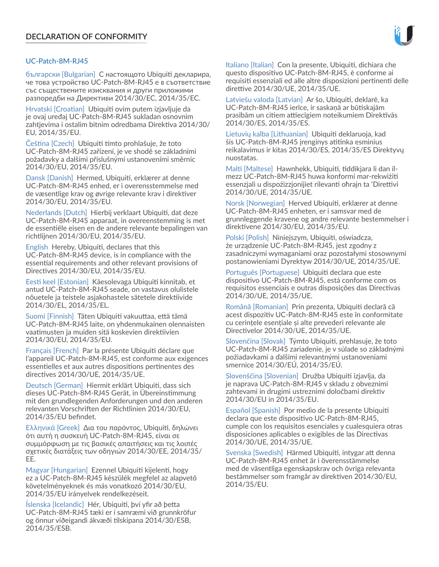#### UC-Patch-8M-RJ45

български [Bulgarian] С настоящото Ubiquiti декларира, че това устройство UC-Patch-8M-RJ45 е в съответствие със съществените изисквания и други приложими разпоредби на Директиви 2014/30/ЕС, 2014/35/ЕС.

Hrvatski [Croatian] Ubiquiti ovim putem izjavljuje da je ovaj uređaj UC-Patch-8M-RJ45 sukladan osnovnim zahtjevima i ostalim bitnim odredbama Direktiva 2014/30/ EU, 2014/35/EU.

Čeština [Czech] Ubiquiti tímto prohlašuje, že toto UC-Patch-8M-RJ45 zařízení, je ve shodě se základními požadavky a dalšími příslušnými ustanoveními směrnic 2014/30/EU, 2014/35/EU.

Dansk [Danish] Hermed, Ubiquiti, erklærer at denne UC-Patch-8M-RJ45 enhed, er i overensstemmelse med de væsentlige krav og øvrige relevante krav i direktiver 2014/30/EU, 2014/35/EU.

Nederlands [Dutch] Hierbij verklaart Ubiquiti, dat deze UC-Patch-8M-RJ45 apparaat, in overeenstemming is met de essentiële eisen en de andere relevante bepalingen van richtlijnen 2014/30/EU, 2014/35/EU.

English Hereby, Ubiquiti, declares that this UC-Patch-8M-RJ45 device, is in compliance with the essential requirements and other relevant provisions of Directives 2014/30/EU, 2014/35/EU.

Eesti keel [Estonian] Käesolevaga Ubiquiti kinnitab, et antud UC-Patch-8M-RJ45 seade, on vastavus olulistele nõuetele ja teistele asjakohastele sätetele direktiivide 2014/30/EL, 2014/35/EL.

Suomi [Finnish] Täten Ubiquiti vakuuttaa, että tämä UC-Patch-8M-RJ45 laite, on yhdenmukainen olennaisten vaatimusten ja muiden sitä koskevien direktiivien 2014/30/EU, 2014/35/EU.

Français [French] Par la présente Ubiquiti déclare que l'appareil UC-Patch-8M-RJ45, est conforme aux exigences essentielles et aux autres dispositions pertinentes des directives 2014/30/UE, 2014/35/UE.

Deutsch [German] Hiermit erklärt Ubiquiti, dass sich dieses UC-Patch-8M-RJ45 Gerät, in Übereinstimmung mit den grundlegenden Anforderungen und den anderen relevanten Vorschriften der Richtlinien 2014/30/EU, 2014/35/EU befindet.

Ελληνικά [Greek] Δια του παρόντος, Ubiquiti, δηλώνει ότι αυτή η συσκευή UC-Patch-8M-RJ45, είναι σε συμμόρφωση με τις βασικές απαιτήσεις και τις λοιπές σχετικές διατάξεις των οδηγιών 2014/30/EE, 2014/35/ EE.

Magyar [Hungarian] Ezennel Ubiquiti kijelenti, hogy ez a UC-Patch-8M-RJ45 készülék megfelel az alapvető követelményeknek és más vonatkozó 2014/30/EU, 2014/35/EU irányelvek rendelkezéseit.

Íslenska [Icelandic] Hér, Ubiquiti, því yfir að þetta UC-Patch-8M-RJ45 tæki er í samræmi við grunnkröfur og önnur viðeigandi ákvæði tilskipana 2014/30/ESB, 2014/35/ESB.

Italiano [Italian] Con la presente, Ubiquiti, dichiara che questo dispositivo UC-Patch-8M-RJ45, è conforme ai requisiti essenziali ed alle altre disposizioni pertinenti delle direttive 2014/30/UE, 2014/35/UE.

Latviešu valoda [Latvian] Ar šo, Ubiquiti, deklarē, ka UC-Patch-8M-RJ45 ierīce, ir saskaņā ar būtiskajām prasībām un citiem attiecīgiem noteikumiem Direktīvās 2014/30/ES, 2014/35/ES.

Lietuvių kalba [Lithuanian] Ubiquiti deklaruoja, kad šis UC-Patch-8M-RJ45 įrenginys atitinka esminius reikalavimus ir kitas 2014/30/ES, 2014/35/ES Direktyvų nuostatas.

Malti [Maltese] Hawnhekk, Ubiquiti, tiddikjara li dan ilmezz UC-Patch-8M-RJ45 huwa konformi mar-rekwiżiti essenzjali u dispożizzjonijiet rilevanti oħrajn ta 'Direttivi 2014/30/UE, 2014/35/UE.

Norsk [Norwegian] Herved Ubiquiti, erklærer at denne UC-Patch-8M-RJ45 enheten, er i samsvar med de grunnleggende kravene og andre relevante bestemmelser i direktivene 2014/30/EU, 2014/35/EU.

Polski [Polish] Niniejszym, Ubiquiti, oświadcza, że urządzenie UC-Patch-8M-RJ45, jest zgodny z zasadniczymi wymaganiami oraz pozostałymi stosownymi postanowieniami Dyrektyw 2014/30/UE, 2014/35/UE.

Português [Portuguese] Ubiquiti declara que este dispositivo UC-Patch-8M-RJ45, está conforme com os requisitos essenciais e outras disposições das Directivas 2014/30/UE, 2014/35/UE.

Română [Romanian] Prin prezenta, Ubiquiti declară că acest dispozitiv UC-Patch-8M-RJ45 este în conformitate cu cerințele esențiale și alte prevederi relevante ale Directivelor 2014/30/UE, 2014/35/UE.

Slovenčina [Slovak] Týmto Ubiquiti, prehlasuje, že toto UC-Patch-8M-RJ45 zariadenie, je v súlade so základnými požiadavkami a ďalšími relevantnými ustanoveniami smernice 2014/30/EÚ, 2014/35/EÚ.

Slovenščina [Slovenian] Družba Ubiquiti izjavlja, da je naprava UC-Patch-8M-RJ45 v skladu z obveznimi zahtevami in drugimi ustreznimi določbami direktiv 2014/30/EU in 2014/35/EU.

Español [Spanish] Por medio de la presente Ubiquiti declara que este dispositivo UC-Patch-8M-RJ45, cumple con los requisitos esenciales y cualesquiera otras disposiciones aplicables o exigibles de las Directivas 2014/30/UE, 2014/35/UE.

Svenska [Swedish] Härmed Ubiquiti, intygar att denna UC-Patch-8M-RJ45 enhet är i överensstämmelse med de väsentliga egenskapskrav och övriga relevanta bestämmelser som framgår av direktiven 2014/30/EU, 2014/35/EU.

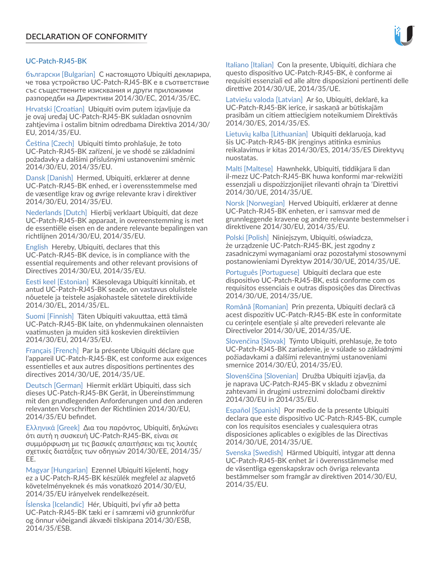#### UC‑Patch‑RJ45‑BK

български [Bulgarian] С настоящото Ubiquiti декларира, че това устройство UC‑Patch‑RJ45‑BK е в съответствие със съществените изисквания и други приложими разпоредби на Директиви 2014/30/ЕС, 2014/35/ЕС.

Hrvatski [Croatian] Ubiquiti ovim putem izjavljuje da je ovaj uređaj UC‑Patch‑RJ45‑BK sukladan osnovnim zahtjevima i ostalim bitnim odredbama Direktiva 2014/30/ EU, 2014/35/EU.

Čeština [Czech] Ubiquiti tímto prohlašuje, že toto UC‑Patch‑RJ45‑BK zařízení, je ve shodě se základními požadavky a dalšími příslušnými ustanoveními směrnic 2014/30/EU, 2014/35/EU.

Dansk [Danish] Hermed, Ubiquiti, erklærer at denne UC‑Patch‑RJ45‑BK enhed, er i overensstemmelse med de væsentlige krav og øvrige relevante krav i direktiver 2014/30/EU, 2014/35/EU.

Nederlands [Dutch] Hierbij verklaart Ubiquiti, dat deze UC-Patch-RJ45-BK apparaat, in overeenstemming is met de essentiële eisen en de andere relevante bepalingen van richtlijnen 2014/30/EU, 2014/35/EU.

English Hereby, Ubiquiti, declares that this UC-Patch-RJ45-BK device, is in compliance with the essential requirements and other relevant provisions of Directives 2014/30/EU, 2014/35/EU.

Eesti keel [Estonian] Käesolevaga Ubiquiti kinnitab, et antud UC‑Patch‑RJ45‑BK seade, on vastavus olulistele nõuetele ja teistele asjakohastele sätetele direktiivide 2014/30/EL, 2014/35/EL.

Suomi [Finnish] Täten Ubiquiti vakuuttaa, että tämä UC‑Patch‑RJ45‑BK laite, on yhdenmukainen olennaisten vaatimusten ja muiden sitä koskevien direktiivien 2014/30/EU, 2014/35/EU.

Français [French] Par la présente Ubiquiti déclare que l'appareil UC‑Patch‑RJ45‑BK, est conforme aux exigences essentielles et aux autres dispositions pertinentes des directives 2014/30/UE, 2014/35/UE.

Deutsch [German] Hiermit erklärt Ubiquiti, dass sich dieses UC‑Patch‑RJ45‑BK Gerät, in Übereinstimmung mit den grundlegenden Anforderungen und den anderen relevanten Vorschriften der Richtlinien 2014/30/EU, 2014/35/EU befindet.

Ελληνικά [Greek] Δια του παρόντος, Ubiquiti, δηλώνει ότι αυτή η συσκευή UC‑Patch‑RJ45‑BK, είναι σε συμμόρφωση με τις βασικές απαιτήσεις και τις λοιπές σχετικές διατάξεις των οδηγιών 2014/30/EE, 2014/35/ EE.

Magyar [Hungarian] Ezennel Ubiquiti kijelenti, hogy ez a UC‑Patch‑RJ45‑BK készülék megfelel az alapvető követelményeknek és más vonatkozó 2014/30/EU, 2014/35/EU irányelvek rendelkezéseit.

Íslenska [Icelandic] Hér, Ubiquiti, því yfir að þetta UC‑Patch‑RJ45‑BK tæki er í samræmi við grunnkröfur og önnur viðeigandi ákvæði tilskipana 2014/30/ESB, 2014/35/ESB.

Italiano [Italian] Con la presente, Ubiquiti, dichiara che questo dispositivo UC‑Patch‑RJ45‑BK, è conforme ai requisiti essenziali ed alle altre disposizioni pertinenti delle direttive 2014/30/UE, 2014/35/UE.

Latviešu valoda [Latvian] Ar šo, Ubiquiti, deklarē, ka UC‑Patch‑RJ45‑BK ierīce, ir saskaņā ar būtiskajām prasībām un citiem attiecīgiem noteikumiem Direktīvās 2014/30/ES, 2014/35/ES.

Lietuvių kalba [Lithuanian] Ubiquiti deklaruoja, kad šis UC‑Patch‑RJ45‑BK įrenginys atitinka esminius reikalavimus ir kitas 2014/30/ES, 2014/35/ES Direktyvų nuostatas.

Malti [Maltese] Hawnhekk, Ubiquiti, tiddikjara li dan il-mezz UC‑Patch‑RJ45‑BK huwa konformi mar-rekwiżiti essenzjali u dispożizzjonijiet rilevanti oħrajn ta 'Direttivi 2014/30/UE, 2014/35/UE.

Norsk [Norwegian] Herved Ubiquiti, erklærer at denne UC‑Patch‑RJ45‑BK enheten, er i samsvar med de grunnleggende kravene og andre relevante bestemmelser i direktivene 2014/30/EU, 2014/35/EU.

Polski [Polish] Niniejszym, Ubiquiti, oświadcza, że urządzenie UC‑Patch‑RJ45‑BK, jest zgodny z zasadniczymi wymaganiami oraz pozostałymi stosownymi postanowieniami Dyrektyw 2014/30/UE, 2014/35/UE.

Português [Portuguese] Ubiquiti declara que este dispositivo UC‑Patch‑RJ45‑BK, está conforme com os requisitos essenciais e outras disposições das Directivas 2014/30/UE, 2014/35/UE.

Română [Romanian] Prin prezenta, Ubiquiti declară că acest dispozitiv UC‑Patch‑RJ45‑BK este în conformitate cu cerințele esențiale și alte prevederi relevante ale Directivelor 2014/30/UE, 2014/35/UE.

Slovenčina [Slovak] Týmto Ubiquiti, prehlasuje, že toto UC‑Patch‑RJ45‑BK zariadenie, je v súlade so základnými požiadavkami a ďalšími relevantnými ustanoveniami smernice 2014/30/EÚ, 2014/35/EÚ.

Slovenščina [Slovenian] Družba Ubiquiti izjavlja, da je naprava UC‑Patch‑RJ45‑BK v skladu z obveznimi zahtevami in drugimi ustreznimi določbami direktiv 2014/30/EU in 2014/35/EU.

Español [Spanish] Por medio de la presente Ubiquiti declara que este dispositivo UC‑Patch‑RJ45‑BK, cumple con los requisitos esenciales y cualesquiera otras disposiciones aplicables o exigibles de las Directivas 2014/30/UE, 2014/35/UE.

Svenska [Swedish] Härmed Ubiquiti, intygar att denna UC‑Patch‑RJ45‑BK enhet är i överensstämmelse med de väsentliga egenskapskrav och övriga relevanta bestämmelser som framgår av direktiven 2014/30/EU, 2014/35/EU.

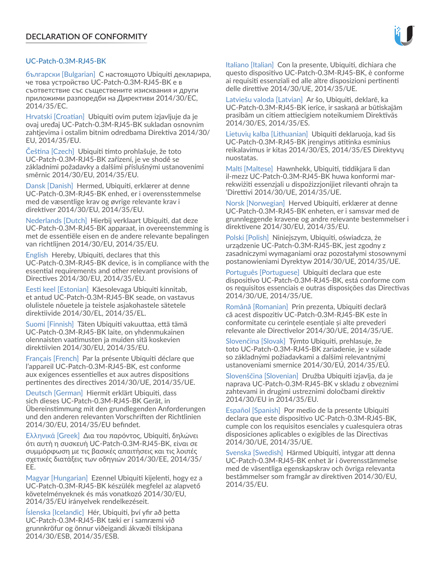

# UC-Patch-0.3M-RJ45-BK

български [Bulgarian] С настоящото Ubiquiti декларира, че това устройство UC-Patch-0.3M-RJ45-BK е в съответствие със съществените изисквания и други приложими разпоредби на Директиви 2014/30/ЕС, 2014/35/ЕС.

Hrvatski [Croatian] Ubiquiti ovim putem izjavljuje da je ovaj uređaj UC-Patch-0.3M-RJ45-BK sukladan osnovnim zahtjevima i ostalim bitnim odredbama Direktiva 2014/30/ EU, 2014/35/EU.

Čeština [Czech] Ubiquiti tímto prohlašuje, že toto UC-Patch-0.3M-RJ45-BK zařízení, je ve shodě se základními požadavky a dalšími příslušnými ustanoveními směrnic 2014/30/EU, 2014/35/EU.

Dansk [Danish] Hermed, Ubiquiti, erklærer at denne UC-Patch-0.3M-RJ45-BK enhed, er i overensstemmelse med de væsentlige krav og øvrige relevante krav i direktiver 2014/30/EU, 2014/35/EU.

Nederlands [Dutch] Hierbij verklaart Ubiquiti, dat deze UC-Patch-0.3M-RJ45-BK apparaat, in overeenstemming is met de essentiële eisen en de andere relevante bepalingen van richtlijnen 2014/30/EU, 2014/35/EU.

English Hereby, Ubiquiti, declares that this UC-Patch-0.3M-RJ45-BK device, is in compliance with the essential requirements and other relevant provisions of Directives 2014/30/EU, 2014/35/EU.

Eesti keel [Estonian] Käesolevaga Ubiquiti kinnitab, et antud UC-Patch-0.3M-RJ45-BK seade, on vastavus olulistele nõuetele ja teistele asjakohastele sätetele direktiivide 2014/30/EL, 2014/35/EL.

Suomi [Finnish] Täten Ubiquiti vakuuttaa, että tämä UC-Patch-0.3M-RJ45-BK laite, on yhdenmukainen olennaisten vaatimusten ja muiden sitä koskevien direktiivien 2014/30/EU, 2014/35/EU.

Français [French] Par la présente Ubiquiti déclare que l'appareil UC-Patch-0.3M-RJ45-BK, est conforme aux exigences essentielles et aux autres dispositions pertinentes des directives 2014/30/UE, 2014/35/UE.

Deutsch [German] Hiermit erklärt Ubiquiti, dass sich dieses UC-Patch-0.3M-RJ45-BK Gerät, in Übereinstimmung mit den grundlegenden Anforderungen und den anderen relevanten Vorschriften der Richtlinien 2014/30/EU, 2014/35/EU befindet.

Ελληνικά [Greek] Δια του παρόντος, Ubiquiti, δηλώνει ότι αυτή η συσκευή UC-Patch-0.3M-RJ45-BK, είναι σε συμμόρφωση με τις βασικές απαιτήσεις και τις λοιπές σχετικές διατάξεις των οδηγιών 2014/30/EE, 2014/35/ EE.

Magyar [Hungarian] Ezennel Ubiquiti kijelenti, hogy ez a UC-Patch-0.3M-RJ45-BK készülék megfelel az alapvető követelményeknek és más vonatkozó 2014/30/EU, 2014/35/EU irányelvek rendelkezéseit.

Íslenska [Icelandic] Hér, Ubiquiti, því yfir að þetta UC-Patch-0.3M-RJ45-BK tæki er í samræmi við grunnkröfur og önnur viðeigandi ákvæði tilskipana 2014/30/ESB, 2014/35/ESB.

Italiano [Italian] Con la presente, Ubiquiti, dichiara che questo dispositivo UC-Patch-0.3M-RJ45-BK, è conforme ai requisiti essenziali ed alle altre disposizioni pertinenti delle direttive 2014/30/UE, 2014/35/UE.

Latviešu valoda [Latvian] Ar šo, Ubiquiti, deklarē, ka UC-Patch-0.3M-RJ45-BK ierīce, ir saskaņā ar būtiskajām prasībām un citiem attiecīgiem noteikumiem Direktīvās 2014/30/ES, 2014/35/ES.

Lietuvių kalba [Lithuanian] Ubiquiti deklaruoja, kad šis UC-Patch-0.3M-RJ45-BK įrenginys atitinka esminius reikalavimus ir kitas 2014/30/ES, 2014/35/ES Direktyvų nuostatas.

Malti [Maltese] Hawnhekk, Ubiquiti, tiddikjara li dan il-mezz UC-Patch-0.3M-RJ45-BK huwa konformi marrekwiżiti essenzjali u dispożizzjonijiet rilevanti oħrajn ta 'Direttivi 2014/30/UE, 2014/35/UE.

Norsk [Norwegian] Herved Ubiquiti, erklærer at denne UC-Patch-0.3M-RJ45-BK enheten, er i samsvar med de grunnleggende kravene og andre relevante bestemmelser i direktivene 2014/30/EU, 2014/35/EU.

Polski [Polish] Niniejszym, Ubiquiti, oświadcza, że urządzenie UC-Patch-0.3M-RJ45-BK, jest zgodny z zasadniczymi wymaganiami oraz pozostałymi stosownymi postanowieniami Dyrektyw 2014/30/UE, 2014/35/UE.

Português [Portuguese] Ubiquiti declara que este dispositivo UC-Patch-0.3M-RJ45-BK, está conforme com os requisitos essenciais e outras disposições das Directivas 2014/30/UE, 2014/35/UE.

Română [Romanian] Prin prezenta, Ubiquiti declară că acest dispozitiv UC-Patch-0.3M-RJ45-BK este în conformitate cu cerințele esențiale și alte prevederi relevante ale Directivelor 2014/30/UE, 2014/35/UE.

Slovenčina [Slovak] Týmto Ubiquiti, prehlasuje, že toto UC-Patch-0.3M-RJ45-BK zariadenie, je v súlade so základnými požiadavkami a ďalšími relevantnými ustanoveniami smernice 2014/30/EÚ, 2014/35/EÚ.

Slovenščina [Slovenian] Družba Ubiquiti izjavlja, da je naprava UC-Patch-0.3M-RJ45-BK v skladu z obveznimi zahtevami in drugimi ustreznimi določbami direktiv 2014/30/EU in 2014/35/EU.

Español [Spanish] Por medio de la presente Ubiquiti declara que este dispositivo UC-Patch-0.3M-RJ45-BK, cumple con los requisitos esenciales y cualesquiera otras disposiciones aplicables o exigibles de las Directivas 2014/30/UE, 2014/35/UE.

Svenska [Swedish] Härmed Ubiquiti, intygar att denna UC-Patch-0.3M-RJ45-BK enhet är i överensstämmelse med de väsentliga egenskapskrav och övriga relevanta bestämmelser som framgår av direktiven 2014/30/EU, 2014/35/EU.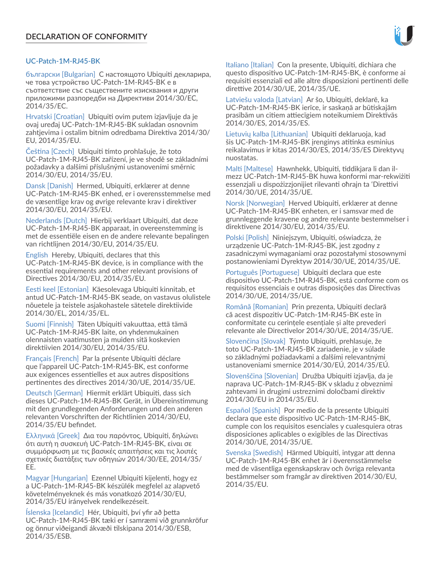# UC-Patch-1M-RJ45-BK

български [Bulgarian] С настоящото Ubiquiti декларира, че това устройство UC-Patch-1M-RJ45-BK е в съответствие със съществените изисквания и други приложими разпоредби на Директиви 2014/30/ЕС, 2014/35/ЕС.

Hrvatski [Croatian] Ubiquiti ovim putem izjavljuje da je ovaj uređaj UC-Patch-1M-RJ45-BK sukladan osnovnim zahtjevima i ostalim bitnim odredbama Direktiva 2014/30/ EU, 2014/35/EU.

Čeština [Czech] Ubiquiti tímto prohlašuje, že toto UC-Patch-1M-RJ45-BK zařízení, je ve shodě se základními požadavky a dalšími příslušnými ustanoveními směrnic 2014/30/EU, 2014/35/EU.

Dansk [Danish] Hermed, Ubiquiti, erklærer at denne UC-Patch-1M-RJ45-BK enhed, er i overensstemmelse med de væsentlige krav og øvrige relevante krav i direktiver 2014/30/EU, 2014/35/EU.

Nederlands [Dutch] Hierbij verklaart Ubiquiti, dat deze UC-Patch-1M-RJ45-BK apparaat, in overeenstemming is met de essentiële eisen en de andere relevante bepalingen van richtlijnen 2014/30/EU, 2014/35/EU.

English Hereby, Ubiquiti, declares that this UC-Patch-1M-RJ45-BK device, is in compliance with the essential requirements and other relevant provisions of Directives 2014/30/EU, 2014/35/EU.

Eesti keel [Estonian] Käesolevaga Ubiquiti kinnitab, et antud UC-Patch-1M-RJ45-BK seade, on vastavus olulistele nõuetele ja teistele asjakohastele sätetele direktiivide 2014/30/EL, 2014/35/EL.

Suomi [Finnish] Täten Ubiquiti vakuuttaa, että tämä UC-Patch-1M-RJ45-BK laite, on yhdenmukainen olennaisten vaatimusten ja muiden sitä koskevien direktiivien 2014/30/EU, 2014/35/EU.

Français [French] Par la présente Ubiquiti déclare que l'appareil UC-Patch-1M-RJ45-BK, est conforme aux exigences essentielles et aux autres dispositions pertinentes des directives 2014/30/UE, 2014/35/UE.

Deutsch [German] Hiermit erklärt Ubiquiti, dass sich dieses UC-Patch-1M-RJ45-BK Gerät, in Übereinstimmung mit den grundlegenden Anforderungen und den anderen relevanten Vorschriften der Richtlinien 2014/30/EU, 2014/35/EU befindet.

Ελληνικά [Greek] Δια του παρόντος, Ubiquiti, δηλώνει ότι αυτή η συσκευή UC-Patch-1M-RJ45-BK, είναι σε συμμόρφωση με τις βασικές απαιτήσεις και τις λοιπές σχετικές διατάξεις των οδηγιών 2014/30/EE, 2014/35/ EE.

Magyar [Hungarian] Ezennel Ubiquiti kijelenti, hogy ez a UC-Patch-1M-RJ45-BK készülék megfelel az alapvető követelményeknek és más vonatkozó 2014/30/EU, 2014/35/EU irányelvek rendelkezéseit.

Íslenska [Icelandic] Hér, Ubiquiti, því yfir að þetta UC-Patch-1M-RJ45-BK tæki er í samræmi við grunnkröfur og önnur viðeigandi ákvæði tilskipana 2014/30/ESB, 2014/35/ESB.

Italiano [Italian] Con la presente, Ubiquiti, dichiara che questo dispositivo UC-Patch-1M-RJ45-BK, è conforme ai requisiti essenziali ed alle altre disposizioni pertinenti delle direttive 2014/30/UE, 2014/35/UE.

Latviešu valoda [Latvian] Ar šo, Ubiquiti, deklarē, ka UC-Patch-1M-RJ45-BK ierīce, ir saskaņā ar būtiskajām prasībām un citiem attiecīgiem noteikumiem Direktīvās 2014/30/ES, 2014/35/ES.

Lietuvių kalba [Lithuanian] Ubiquiti deklaruoja, kad šis UC-Patch-1M-RJ45-BK įrenginys atitinka esminius reikalavimus ir kitas 2014/30/ES, 2014/35/ES Direktyvų nuostatas.

Malti [Maltese] Hawnhekk, Ubiquiti, tiddikjara li dan ilmezz UC-Patch-1M-RJ45-BK huwa konformi mar-rekwiżiti essenzjali u dispożizzjonijiet rilevanti oħrajn ta 'Direttivi 2014/30/UE, 2014/35/UE.

Norsk [Norwegian] Herved Ubiquiti, erklærer at denne UC-Patch-1M-RJ45-BK enheten, er i samsvar med de grunnleggende kravene og andre relevante bestemmelser i direktivene 2014/30/EU, 2014/35/EU.

Polski [Polish] Niniejszym, Ubiquiti, oświadcza, że urządzenie UC-Patch-1M-RJ45-BK, jest zgodny z zasadniczymi wymaganiami oraz pozostałymi stosownymi postanowieniami Dyrektyw 2014/30/UE, 2014/35/UE.

Português [Portuguese] Ubiquiti declara que este dispositivo UC-Patch-1M-RJ45-BK, está conforme com os requisitos essenciais e outras disposições das Directivas 2014/30/UE, 2014/35/UE.

Română [Romanian] Prin prezenta, Ubiquiti declară că acest dispozitiv UC-Patch-1M-RJ45-BK este în conformitate cu cerințele esențiale și alte prevederi relevante ale Directivelor 2014/30/UE, 2014/35/UE.

Slovenčina [Slovak] Týmto Ubiquiti, prehlasuje, že toto UC-Patch-1M-RJ45-BK zariadenie, je v súlade so základnými požiadavkami a ďalšími relevantnými ustanoveniami smernice 2014/30/EÚ, 2014/35/EÚ.

Slovenščina [Slovenian] Družba Ubiquiti izjavlja, da je naprava UC-Patch-1M-RJ45-BK v skladu z obveznimi zahtevami in drugimi ustreznimi določbami direktiv 2014/30/EU in 2014/35/EU.

Español [Spanish] Por medio de la presente Ubiquiti declara que este dispositivo UC-Patch-1M-RJ45-BK, cumple con los requisitos esenciales y cualesquiera otras disposiciones aplicables o exigibles de las Directivas 2014/30/UE, 2014/35/UE.

Svenska [Swedish] Härmed Ubiquiti, intygar att denna UC-Patch-1M-RJ45-BK enhet är i överensstämmelse med de väsentliga egenskapskrav och övriga relevanta bestämmelser som framgår av direktiven 2014/30/EU, 2014/35/EU.

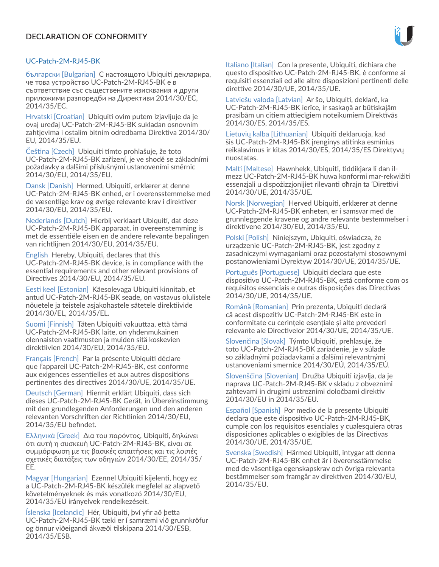# UC-Patch-2M-RJ45-BK

български [Bulgarian] С настоящото Ubiquiti декларира, че това устройство UC-Patch-2M-RJ45-BK е в съответствие със съществените изисквания и други приложими разпоредби на Директиви 2014/30/ЕС, 2014/35/ЕС.

Hrvatski [Croatian] Ubiquiti ovim putem izjavljuje da je ovaj uređaj UC-Patch-2M-RJ45-BK sukladan osnovnim zahtjevima i ostalim bitnim odredbama Direktiva 2014/30/ EU, 2014/35/EU.

Čeština [Czech] Ubiquiti tímto prohlašuje, že toto UC-Patch-2M-RJ45-BK zařízení, je ve shodě se základními požadavky a dalšími příslušnými ustanoveními směrnic 2014/30/EU, 2014/35/EU.

Dansk [Danish] Hermed, Ubiquiti, erklærer at denne UC-Patch-2M-RJ45-BK enhed, er i overensstemmelse med de væsentlige krav og øvrige relevante krav i direktiver 2014/30/EU, 2014/35/EU.

Nederlands [Dutch] Hierbij verklaart Ubiquiti, dat deze UC-Patch-2M-RJ45-BK apparaat, in overeenstemming is met de essentiële eisen en de andere relevante bepalingen van richtlijnen 2014/30/EU, 2014/35/EU.

English Hereby, Ubiquiti, declares that this UC-Patch-2M-RJ45-BK device, is in compliance with the essential requirements and other relevant provisions of Directives 2014/30/EU, 2014/35/EU.

Eesti keel [Estonian] Käesolevaga Ubiquiti kinnitab, et antud UC-Patch-2M-RJ45-BK seade, on vastavus olulistele nõuetele ja teistele asjakohastele sätetele direktiivide 2014/30/EL, 2014/35/EL.

Suomi [Finnish] Täten Ubiquiti vakuuttaa, että tämä UC-Patch-2M-RJ45-BK laite, on yhdenmukainen olennaisten vaatimusten ja muiden sitä koskevien direktiivien 2014/30/EU, 2014/35/EU.

Français [French] Par la présente Ubiquiti déclare que l'appareil UC-Patch-2M-RJ45-BK, est conforme aux exigences essentielles et aux autres dispositions pertinentes des directives 2014/30/UE, 2014/35/UE.

Deutsch [German] Hiermit erklärt Ubiquiti, dass sich dieses UC-Patch-2M-RJ45-BK Gerät, in Übereinstimmung mit den grundlegenden Anforderungen und den anderen relevanten Vorschriften der Richtlinien 2014/30/EU, 2014/35/EU befindet.

Ελληνικά [Greek] Δια του παρόντος, Ubiquiti, δηλώνει ότι αυτή η συσκευή UC-Patch-2M-RJ45-BK, είναι σε συμμόρφωση με τις βασικές απαιτήσεις και τις λοιπές σχετικές διατάξεις των οδηγιών 2014/30/EE, 2014/35/ EE.

Magyar [Hungarian] Ezennel Ubiquiti kijelenti, hogy ez a UC-Patch-2M-RJ45-BK készülék megfelel az alapvető követelményeknek és más vonatkozó 2014/30/EU, 2014/35/EU irányelvek rendelkezéseit.

Íslenska [Icelandic] Hér, Ubiquiti, því yfir að þetta UC-Patch-2M-RJ45-BK tæki er í samræmi við grunnkröfur og önnur viðeigandi ákvæði tilskipana 2014/30/ESB, 2014/35/ESB.

Italiano [Italian] Con la presente, Ubiquiti, dichiara che questo dispositivo UC-Patch-2M-RJ45-BK, è conforme ai requisiti essenziali ed alle altre disposizioni pertinenti delle direttive 2014/30/UE, 2014/35/UE.

Latviešu valoda [Latvian] Ar šo, Ubiquiti, deklarē, ka UC-Patch-2M-RJ45-BK ierīce, ir saskaņā ar būtiskajām prasībām un citiem attiecīgiem noteikumiem Direktīvās 2014/30/ES, 2014/35/ES.

Lietuvių kalba [Lithuanian] Ubiquiti deklaruoja, kad šis UC-Patch-2M-RJ45-BK įrenginys atitinka esminius reikalavimus ir kitas 2014/30/ES, 2014/35/ES Direktyvų nuostatas.

Malti [Maltese] Hawnhekk, Ubiquiti, tiddikjara li dan ilmezz UC-Patch-2M-RJ45-BK huwa konformi mar-rekwiżiti essenzjali u dispożizzjonijiet rilevanti oħrajn ta 'Direttivi 2014/30/UE, 2014/35/UE.

Norsk [Norwegian] Herved Ubiquiti, erklærer at denne UC-Patch-2M-RJ45-BK enheten, er i samsvar med de grunnleggende kravene og andre relevante bestemmelser i direktivene 2014/30/EU, 2014/35/EU.

Polski [Polish] Niniejszym, Ubiquiti, oświadcza, że urządzenie UC-Patch-2M-RJ45-BK, jest zgodny z zasadniczymi wymaganiami oraz pozostałymi stosownymi postanowieniami Dyrektyw 2014/30/UE, 2014/35/UE.

Português [Portuguese] Ubiquiti declara que este dispositivo UC-Patch-2M-RJ45-BK, está conforme com os requisitos essenciais e outras disposições das Directivas 2014/30/UE, 2014/35/UE.

Română [Romanian] Prin prezenta, Ubiquiti declară că acest dispozitiv UC-Patch-2M-RJ45-BK este în conformitate cu cerințele esențiale și alte prevederi relevante ale Directivelor 2014/30/UE, 2014/35/UE.

Slovenčina [Slovak] Týmto Ubiquiti, prehlasuje, že toto UC-Patch-2M-RJ45-BK zariadenie, je v súlade so základnými požiadavkami a ďalšími relevantnými ustanoveniami smernice 2014/30/EÚ, 2014/35/EÚ.

Slovenščina [Slovenian] Družba Ubiquiti izjavlja, da je naprava UC-Patch-2M-RJ45-BK v skladu z obveznimi zahtevami in drugimi ustreznimi določbami direktiv 2014/30/EU in 2014/35/EU.

Español [Spanish] Por medio de la presente Ubiquiti declara que este dispositivo UC-Patch-2M-RJ45-BK, cumple con los requisitos esenciales y cualesquiera otras disposiciones aplicables o exigibles de las Directivas 2014/30/UE, 2014/35/UE.

Svenska [Swedish] Härmed Ubiquiti, intygar att denna UC-Patch-2M-RJ45-BK enhet är i överensstämmelse med de väsentliga egenskapskrav och övriga relevanta bestämmelser som framgår av direktiven 2014/30/EU, 2014/35/EU.

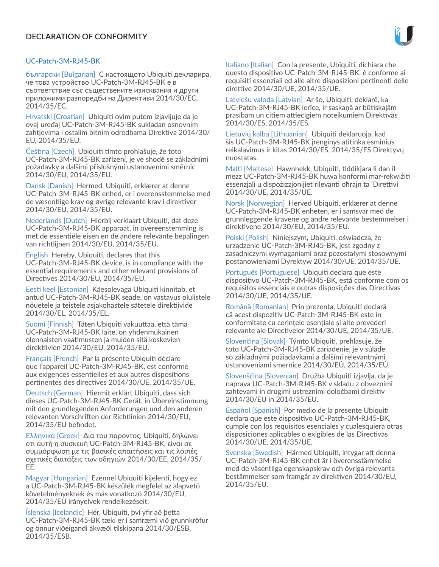# UC-Patch-3M-RJ45-BK

български [Bulgarian] С настоящото Ubiquiti декларира, че това устройство UC-Patch-3M-RJ45-BK е в съответствие със съществените изисквания и други приложими разпоредби на Директиви 2014/30/ЕС, 2014/35/ЕС.

Hrvatski [Croatian] Ubiquiti ovim putem izjavljuje da je ovaj uređaj UC-Patch-3M-RJ45-BK sukladan osnovnim zahtjevima i ostalim bitnim odredbama Direktiva 2014/30/ EU, 2014/35/EU.

Čeština [Czech] Ubiquiti tímto prohlašuje, že toto UC-Patch-3M-RJ45-BK zařízení, je ve shodě se základními požadavky a dalšími příslušnými ustanoveními směrnic 2014/30/EU, 2014/35/EU.

Dansk [Danish] Hermed, Ubiquiti, erklærer at denne UC-Patch-3M-RJ45-BK enhed, er i overensstemmelse med de væsentlige krav og øvrige relevante krav i direktiver 2014/30/EU, 2014/35/EU.

Nederlands [Dutch] Hierbij verklaart Ubiquiti, dat deze UC-Patch-3M-RJ45-BK apparaat, in overeenstemming is met de essentiële eisen en de andere relevante bepalingen van richtlijnen 2014/30/EU, 2014/35/EU.

English Hereby, Ubiquiti, declares that this UC-Patch-3M-RJ45-BK device, is in compliance with the essential requirements and other relevant provisions of Directives 2014/30/EU, 2014/35/EU.

Eesti keel [Estonian] Käesolevaga Ubiquiti kinnitab, et antud UC-Patch-3M-RJ45-BK seade, on vastavus olulistele nõuetele ja teistele asjakohastele sätetele direktiivide 2014/30/EL, 2014/35/EL.

Suomi [Finnish] Täten Ubiquiti vakuuttaa, että tämä UC-Patch-3M-RJ45-BK laite, on yhdenmukainen olennaisten vaatimusten ja muiden sitä koskevien direktiivien 2014/30/EU, 2014/35/EU.

Français [French] Par la présente Ubiquiti déclare que l'appareil UC-Patch-3M-RJ45-BK, est conforme aux exigences essentielles et aux autres dispositions pertinentes des directives 2014/30/UE, 2014/35/UE.

Deutsch [German] Hiermit erklärt Ubiquiti, dass sich dieses UC-Patch-3M-RJ45-BK Gerät, in Übereinstimmung mit den grundlegenden Anforderungen und den anderen relevanten Vorschriften der Richtlinien 2014/30/EU, 2014/35/EU befindet.

Ελληνικά [Greek] Δια του παρόντος, Ubiquiti, δηλώνει ότι αυτή η συσκευή UC-Patch-3M-RJ45-BK, είναι σε συμμόρφωση με τις βασικές απαιτήσεις και τις λοιπές σχετικές διατάξεις των οδηγιών 2014/30/EE, 2014/35/ EE.

Magyar [Hungarian] Ezennel Ubiquiti kijelenti, hogy ez a UC-Patch-3M-RJ45-BK készülék megfelel az alapvető követelményeknek és más vonatkozó 2014/30/EU, 2014/35/EU irányelvek rendelkezéseit.

Íslenska [Icelandic] Hér, Ubiquiti, því yfir að þetta UC-Patch-3M-RJ45-BK tæki er í samræmi við grunnkröfur og önnur viðeigandi ákvæði tilskipana 2014/30/ESB, 2014/35/ESB.

Italiano [Italian] Con la presente, Ubiquiti, dichiara che questo dispositivo UC-Patch-3M-RJ45-BK, è conforme ai requisiti essenziali ed alle altre disposizioni pertinenti delle direttive 2014/30/UE, 2014/35/UE.

Latviešu valoda [Latvian] Ar šo, Ubiquiti, deklarē, ka UC-Patch-3M-RJ45-BK ierīce, ir saskaņā ar būtiskajām prasībām un citiem attiecīgiem noteikumiem Direktīvās 2014/30/ES, 2014/35/ES.

Lietuvių kalba [Lithuanian] Ubiquiti deklaruoja, kad šis UC-Patch-3M-RJ45-BK įrenginys atitinka esminius reikalavimus ir kitas 2014/30/ES, 2014/35/ES Direktyvų nuostatas.

Malti [Maltese] Hawnhekk, Ubiquiti, tiddikjara li dan ilmezz UC-Patch-3M-RJ45-BK huwa konformi mar-rekwiżiti essenzjali u dispożizzjonijiet rilevanti oħrajn ta 'Direttivi 2014/30/UE, 2014/35/UE.

Norsk [Norwegian] Herved Ubiquiti, erklærer at denne UC-Patch-3M-RJ45-BK enheten, er i samsvar med de grunnleggende kravene og andre relevante bestemmelser i direktivene 2014/30/EU, 2014/35/EU.

Polski [Polish] Niniejszym, Ubiquiti, oświadcza, że urządzenie UC-Patch-3M-RJ45-BK, jest zgodny z zasadniczymi wymaganiami oraz pozostałymi stosownymi postanowieniami Dyrektyw 2014/30/UE, 2014/35/UE.

Português [Portuguese] Ubiquiti declara que este dispositivo UC-Patch-3M-RJ45-BK, está conforme com os requisitos essenciais e outras disposições das Directivas 2014/30/UE, 2014/35/UE.

Română [Romanian] Prin prezenta, Ubiquiti declară că acest dispozitiv UC-Patch-3M-RJ45-BK este în conformitate cu cerințele esențiale și alte prevederi relevante ale Directivelor 2014/30/UE, 2014/35/UE.

Slovenčina [Slovak] Týmto Ubiquiti, prehlasuje, že toto UC-Patch-3M-RJ45-BK zariadenie, je v súlade so základnými požiadavkami a ďalšími relevantnými ustanoveniami smernice 2014/30/EÚ, 2014/35/EÚ.

Slovenščina [Slovenian] Družba Ubiquiti izjavlja, da je naprava UC-Patch-3M-RJ45-BK v skladu z obveznimi zahtevami in drugimi ustreznimi določbami direktiv 2014/30/EU in 2014/35/EU.

Español [Spanish] Por medio de la presente Ubiquiti declara que este dispositivo UC-Patch-3M-RJ45-BK, cumple con los requisitos esenciales y cualesquiera otras disposiciones aplicables o exigibles de las Directivas 2014/30/UE, 2014/35/UE.

Svenska [Swedish] Härmed Ubiquiti, intygar att denna UC-Patch-3M-RJ45-BK enhet är i överensstämmelse med de väsentliga egenskapskrav och övriga relevanta bestämmelser som framgår av direktiven 2014/30/EU, 2014/35/EU.

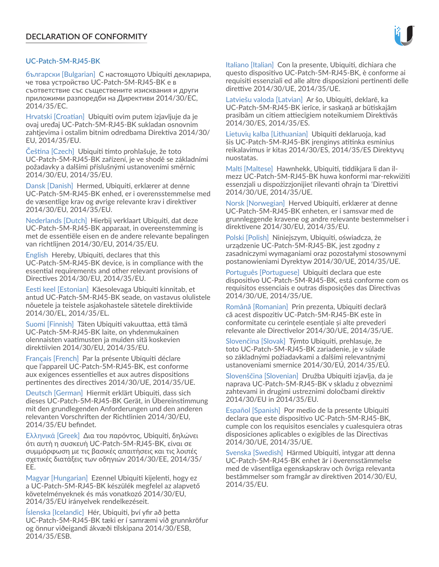# UC-Patch-5M-RJ45-BK

български [Bulgarian] С настоящото Ubiquiti декларира, че това устройство UC-Patch-5M-RJ45-BK е в съответствие със съществените изисквания и други приложими разпоредби на Директиви 2014/30/ЕС, 2014/35/ЕС.

Hrvatski [Croatian] Ubiquiti ovim putem izjavljuje da je ovaj uređaj UC-Patch-5M-RJ45-BK sukladan osnovnim zahtjevima i ostalim bitnim odredbama Direktiva 2014/30/ EU, 2014/35/EU.

Čeština [Czech] Ubiquiti tímto prohlašuje, že toto UC-Patch-5M-RJ45-BK zařízení, je ve shodě se základními požadavky a dalšími příslušnými ustanoveními směrnic 2014/30/EU, 2014/35/EU.

Dansk [Danish] Hermed, Ubiquiti, erklærer at denne UC-Patch-5M-RJ45-BK enhed, er i overensstemmelse med de væsentlige krav og øvrige relevante krav i direktiver 2014/30/EU, 2014/35/EU.

Nederlands [Dutch] Hierbij verklaart Ubiquiti, dat deze UC-Patch-5M-RJ45-BK apparaat, in overeenstemming is met de essentiële eisen en de andere relevante bepalingen van richtlijnen 2014/30/EU, 2014/35/EU.

English Hereby, Ubiquiti, declares that this UC-Patch-5M-RJ45-BK device, is in compliance with the essential requirements and other relevant provisions of Directives 2014/30/EU, 2014/35/EU.

Eesti keel [Estonian] Käesolevaga Ubiquiti kinnitab, et antud UC-Patch-5M-RJ45-BK seade, on vastavus olulistele nõuetele ja teistele asjakohastele sätetele direktiivide 2014/30/EL, 2014/35/EL.

Suomi [Finnish] Täten Ubiquiti vakuuttaa, että tämä UC-Patch-5M-RJ45-BK laite, on yhdenmukainen olennaisten vaatimusten ja muiden sitä koskevien direktiivien 2014/30/EU, 2014/35/EU.

Français [French] Par la présente Ubiquiti déclare que l'appareil UC-Patch-5M-RJ45-BK, est conforme aux exigences essentielles et aux autres dispositions pertinentes des directives 2014/30/UE, 2014/35/UE.

Deutsch [German] Hiermit erklärt Ubiquiti, dass sich dieses UC-Patch-5M-RJ45-BK Gerät, in Übereinstimmung mit den grundlegenden Anforderungen und den anderen relevanten Vorschriften der Richtlinien 2014/30/EU, 2014/35/EU befindet.

Ελληνικά [Greek] Δια του παρόντος, Ubiquiti, δηλώνει ότι αυτή η συσκευή UC-Patch-5M-RJ45-BK, είναι σε συμμόρφωση με τις βασικές απαιτήσεις και τις λοιπές σχετικές διατάξεις των οδηγιών 2014/30/EE, 2014/35/ EE.

Magyar [Hungarian] Ezennel Ubiquiti kijelenti, hogy ez a UC-Patch-5M-RJ45-BK készülék megfelel az alapvető követelményeknek és más vonatkozó 2014/30/EU, 2014/35/EU irányelvek rendelkezéseit.

Íslenska [Icelandic] Hér, Ubiquiti, því yfir að þetta UC-Patch-5M-RJ45-BK tæki er í samræmi við grunnkröfur og önnur viðeigandi ákvæði tilskipana 2014/30/ESB, 2014/35/ESB.

Italiano [Italian] Con la presente, Ubiquiti, dichiara che questo dispositivo UC-Patch-5M-RJ45-BK, è conforme ai requisiti essenziali ed alle altre disposizioni pertinenti delle direttive 2014/30/UE, 2014/35/UE.

Latviešu valoda [Latvian] Ar šo, Ubiquiti, deklarē, ka UC-Patch-5M-RJ45-BK ierīce, ir saskaņā ar būtiskajām prasībām un citiem attiecīgiem noteikumiem Direktīvās 2014/30/ES, 2014/35/ES.

Lietuvių kalba [Lithuanian] Ubiquiti deklaruoja, kad šis UC-Patch-5M-RJ45-BK įrenginys atitinka esminius reikalavimus ir kitas 2014/30/ES, 2014/35/ES Direktyvų nuostatas.

Malti [Maltese] Hawnhekk, Ubiquiti, tiddikjara li dan ilmezz UC-Patch-5M-RJ45-BK huwa konformi mar-rekwiżiti essenzjali u dispożizzjonijiet rilevanti oħrajn ta 'Direttivi 2014/30/UE, 2014/35/UE.

Norsk [Norwegian] Herved Ubiquiti, erklærer at denne UC-Patch-5M-RJ45-BK enheten, er i samsvar med de grunnleggende kravene og andre relevante bestemmelser i direktivene 2014/30/EU, 2014/35/EU.

Polski [Polish] Niniejszym, Ubiquiti, oświadcza, że urządzenie UC-Patch-5M-RJ45-BK, jest zgodny z zasadniczymi wymaganiami oraz pozostałymi stosownymi postanowieniami Dyrektyw 2014/30/UE, 2014/35/UE.

Português [Portuguese] Ubiquiti declara que este dispositivo UC-Patch-5M-RJ45-BK, está conforme com os requisitos essenciais e outras disposições das Directivas 2014/30/UE, 2014/35/UE.

Română [Romanian] Prin prezenta, Ubiquiti declară că acest dispozitiv UC-Patch-5M-RJ45-BK este în conformitate cu cerințele esențiale și alte prevederi relevante ale Directivelor 2014/30/UE, 2014/35/UE.

Slovenčina [Slovak] Týmto Ubiquiti, prehlasuje, že toto UC-Patch-5M-RJ45-BK zariadenie, je v súlade so základnými požiadavkami a ďalšími relevantnými ustanoveniami smernice 2014/30/EÚ, 2014/35/EÚ.

Slovenščina [Slovenian] Družba Ubiquiti izjavlja, da je naprava UC-Patch-5M-RJ45-BK v skladu z obveznimi zahtevami in drugimi ustreznimi določbami direktiv 2014/30/EU in 2014/35/EU.

Español [Spanish] Por medio de la presente Ubiquiti declara que este dispositivo UC-Patch-5M-RJ45-BK, cumple con los requisitos esenciales y cualesquiera otras disposiciones aplicables o exigibles de las Directivas 2014/30/UE, 2014/35/UE.

Svenska [Swedish] Härmed Ubiquiti, intygar att denna UC-Patch-5M-RJ45-BK enhet är i överensstämmelse med de väsentliga egenskapskrav och övriga relevanta bestämmelser som framgår av direktiven 2014/30/EU, 2014/35/EU.

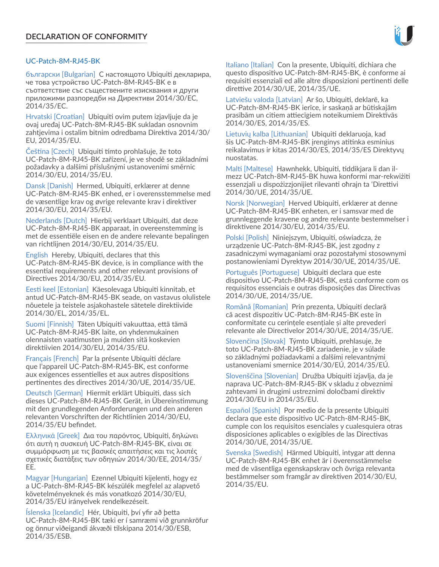# UC-Patch-8M-RJ45-BK

български [Bulgarian] С настоящото Ubiquiti декларира, че това устройство UC-Patch-8M-RJ45-BK е в съответствие със съществените изисквания и други приложими разпоредби на Директиви 2014/30/ЕС, 2014/35/ЕС.

Hrvatski [Croatian] Ubiquiti ovim putem izjavljuje da je ovaj uređaj UC-Patch-8M-RJ45-BK sukladan osnovnim zahtjevima i ostalim bitnim odredbama Direktiva 2014/30/ EU, 2014/35/EU.

Čeština [Czech] Ubiquiti tímto prohlašuje, že toto UC-Patch-8M-RJ45-BK zařízení, je ve shodě se základními požadavky a dalšími příslušnými ustanoveními směrnic 2014/30/EU, 2014/35/EU.

Dansk [Danish] Hermed, Ubiquiti, erklærer at denne UC-Patch-8M-RJ45-BK enhed, er i overensstemmelse med de væsentlige krav og øvrige relevante krav i direktiver 2014/30/EU, 2014/35/EU.

Nederlands [Dutch] Hierbij verklaart Ubiquiti, dat deze UC-Patch-8M-RJ45-BK apparaat, in overeenstemming is met de essentiële eisen en de andere relevante bepalingen van richtlijnen 2014/30/EU, 2014/35/EU.

English Hereby, Ubiquiti, declares that this UC-Patch-8M-RJ45-BK device, is in compliance with the essential requirements and other relevant provisions of Directives 2014/30/EU, 2014/35/EU.

Eesti keel [Estonian] Käesolevaga Ubiquiti kinnitab, et antud UC-Patch-8M-RJ45-BK seade, on vastavus olulistele nõuetele ja teistele asjakohastele sätetele direktiivide 2014/30/EL, 2014/35/EL.

Suomi [Finnish] Täten Ubiquiti vakuuttaa, että tämä UC-Patch-8M-RJ45-BK laite, on yhdenmukainen olennaisten vaatimusten ja muiden sitä koskevien direktiivien 2014/30/EU, 2014/35/EU.

Français [French] Par la présente Ubiquiti déclare que l'appareil UC-Patch-8M-RJ45-BK, est conforme aux exigences essentielles et aux autres dispositions pertinentes des directives 2014/30/UE, 2014/35/UE.

Deutsch [German] Hiermit erklärt Ubiquiti, dass sich dieses UC-Patch-8M-RJ45-BK Gerät, in Übereinstimmung mit den grundlegenden Anforderungen und den anderen relevanten Vorschriften der Richtlinien 2014/30/EU, 2014/35/EU befindet.

Ελληνικά [Greek] Δια του παρόντος, Ubiquiti, δηλώνει ότι αυτή η συσκευή UC-Patch-8M-RJ45-BK, είναι σε συμμόρφωση με τις βασικές απαιτήσεις και τις λοιπές σχετικές διατάξεις των οδηγιών 2014/30/EE, 2014/35/ EE.

Magyar [Hungarian] Ezennel Ubiquiti kijelenti, hogy ez a UC-Patch-8M-RJ45-BK készülék megfelel az alapvető követelményeknek és más vonatkozó 2014/30/EU, 2014/35/EU irányelvek rendelkezéseit.

Íslenska [Icelandic] Hér, Ubiquiti, því yfir að þetta UC-Patch-8M-RJ45-BK tæki er í samræmi við grunnkröfur og önnur viðeigandi ákvæði tilskipana 2014/30/ESB, 2014/35/ESB.

Italiano [Italian] Con la presente, Ubiquiti, dichiara che questo dispositivo UC-Patch-8M-RJ45-BK, è conforme ai requisiti essenziali ed alle altre disposizioni pertinenti delle direttive 2014/30/UE, 2014/35/UE.

Latviešu valoda [Latvian] Ar šo, Ubiquiti, deklarē, ka UC-Patch-8M-RJ45-BK ierīce, ir saskaņā ar būtiskajām prasībām un citiem attiecīgiem noteikumiem Direktīvās 2014/30/ES, 2014/35/ES.

Lietuvių kalba [Lithuanian] Ubiquiti deklaruoja, kad šis UC-Patch-8M-RJ45-BK įrenginys atitinka esminius reikalavimus ir kitas 2014/30/ES, 2014/35/ES Direktyvų nuostatas.

Malti [Maltese] Hawnhekk, Ubiquiti, tiddikjara li dan ilmezz UC-Patch-8M-RJ45-BK huwa konformi mar-rekwiżiti essenzjali u dispożizzjonijiet rilevanti oħrajn ta 'Direttivi 2014/30/UE, 2014/35/UE.

Norsk [Norwegian] Herved Ubiquiti, erklærer at denne UC-Patch-8M-RJ45-BK enheten, er i samsvar med de grunnleggende kravene og andre relevante bestemmelser i direktivene 2014/30/EU, 2014/35/EU.

Polski [Polish] Niniejszym, Ubiquiti, oświadcza, że urządzenie UC-Patch-8M-RJ45-BK, jest zgodny z zasadniczymi wymaganiami oraz pozostałymi stosownymi postanowieniami Dyrektyw 2014/30/UE, 2014/35/UE.

Português [Portuguese] Ubiquiti declara que este dispositivo UC-Patch-8M-RJ45-BK, está conforme com os requisitos essenciais e outras disposições das Directivas 2014/30/UE, 2014/35/UE.

Română [Romanian] Prin prezenta, Ubiquiti declară că acest dispozitiv UC-Patch-8M-RJ45-BK este în conformitate cu cerințele esențiale și alte prevederi relevante ale Directivelor 2014/30/UE, 2014/35/UE.

Slovenčina [Slovak] Týmto Ubiquiti, prehlasuje, že toto UC-Patch-8M-RJ45-BK zariadenie, je v súlade so základnými požiadavkami a ďalšími relevantnými ustanoveniami smernice 2014/30/EÚ, 2014/35/EÚ.

Slovenščina [Slovenian] Družba Ubiquiti izjavlja, da je naprava UC-Patch-8M-RJ45-BK v skladu z obveznimi zahtevami in drugimi ustreznimi določbami direktiv 2014/30/EU in 2014/35/EU.

Español [Spanish] Por medio de la presente Ubiquiti declara que este dispositivo UC-Patch-8M-RJ45-BK, cumple con los requisitos esenciales y cualesquiera otras disposiciones aplicables o exigibles de las Directivas 2014/30/UE, 2014/35/UE.

Svenska [Swedish] Härmed Ubiquiti, intygar att denna UC-Patch-8M-RJ45-BK enhet är i överensstämmelse med de väsentliga egenskapskrav och övriga relevanta bestämmelser som framgår av direktiven 2014/30/EU, 2014/35/EU.

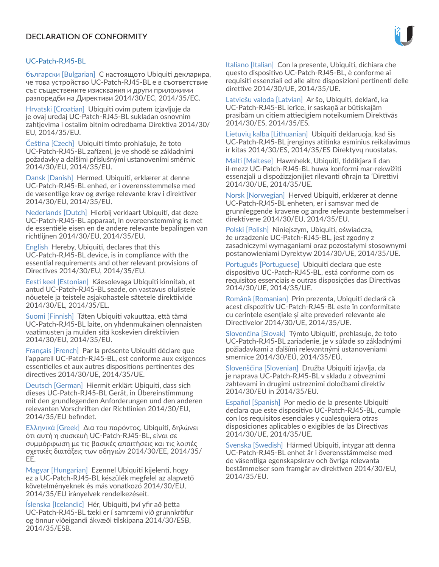#### UC‑Patch-RJ45‑BL

български [Bulgarian] С настоящото Ubiquiti декларира, че това устройство UC‑Patch-RJ45‑BL е в съответствие със съществените изисквания и други приложими разпоредби на Директиви 2014/30/ЕС, 2014/35/ЕС.

Hrvatski [Croatian] Ubiquiti ovim putem izjavljuje da je ovaj uređaj UC‑Patch-RJ45‑BL sukladan osnovnim zahtjevima i ostalim bitnim odredbama Direktiva 2014/30/ EU, 2014/35/EU.

Čeština [Czech] Ubiquiti tímto prohlašuje, že toto UC‑Patch-RJ45‑BL zařízení, je ve shodě se základními požadavky a dalšími příslušnými ustanoveními směrnic 2014/30/EU, 2014/35/EU.

Dansk [Danish] Hermed, Ubiquiti, erklærer at denne UC‑Patch-RJ45‑BL enhed, er i overensstemmelse med de væsentlige krav og øvrige relevante krav i direktiver 2014/30/EU, 2014/35/EU.

Nederlands [Dutch] Hierbij verklaart Ubiquiti, dat deze UC‑Patch-RJ45‑BL apparaat, in overeenstemming is met de essentiële eisen en de andere relevante bepalingen van richtlijnen 2014/30/EU, 2014/35/EU.

English Hereby, Ubiquiti, declares that this UC-Patch-RJ45-BL device, is in compliance with the essential requirements and other relevant provisions of Directives 2014/30/EU, 2014/35/EU.

Eesti keel [Estonian] Käesolevaga Ubiquiti kinnitab, et antud UC‑Patch-RJ45‑BL seade, on vastavus olulistele nõuetele ja teistele asjakohastele sätetele direktiivide 2014/30/EL, 2014/35/EL.

Suomi [Finnish] Täten Ubiquiti vakuuttaa, että tämä UC‑Patch-RJ45‑BL laite, on yhdenmukainen olennaisten vaatimusten ja muiden sitä koskevien direktiivien 2014/30/EU, 2014/35/EU.

Français [French] Par la présente Ubiquiti déclare que l'appareil UC‑Patch-RJ45‑BL, est conforme aux exigences essentielles et aux autres dispositions pertinentes des directives 2014/30/UE, 2014/35/UE.

Deutsch [German] Hiermit erklärt Ubiquiti, dass sich dieses UC‑Patch-RJ45‑BL Gerät, in Übereinstimmung mit den grundlegenden Anforderungen und den anderen relevanten Vorschriften der Richtlinien 2014/30/EU, 2014/35/EU befindet.

Ελληνικά [Greek] Δια του παρόντος, Ubiquiti, δηλώνει ότι αυτή η συσκευή UC‑Patch-RJ45‑BL, είναι σε συμμόρφωση με τις βασικές απαιτήσεις και τις λοιπές σχετικές διατάξεις των οδηγιών 2014/30/EE, 2014/35/ EE.

Magyar [Hungarian] Ezennel Ubiquiti kijelenti, hogy ez a UC‑Patch-RJ45‑BL készülék megfelel az alapvető követelményeknek és más vonatkozó 2014/30/EU, 2014/35/EU irányelvek rendelkezéseit.

Íslenska [Icelandic] Hér, Ubiquiti, því yfir að þetta UC‑Patch-RJ45‑BL tæki er í samræmi við grunnkröfur og önnur viðeigandi ákvæði tilskipana 2014/30/ESB, 2014/35/ESB.

Italiano [Italian] Con la presente, Ubiquiti, dichiara che questo dispositivo UC‑Patch-RJ45‑BL, è conforme ai requisiti essenziali ed alle altre disposizioni pertinenti delle direttive 2014/30/UE, 2014/35/UE.

Latviešu valoda [Latvian] Ar šo, Ubiquiti, deklarē, ka UC‑Patch-RJ45‑BL ierīce, ir saskaņā ar būtiskajām prasībām un citiem attiecīgiem noteikumiem Direktīvās 2014/30/ES, 2014/35/ES.

Lietuvių kalba [Lithuanian] Ubiquiti deklaruoja, kad šis UC‑Patch-RJ45‑BL įrenginys atitinka esminius reikalavimus ir kitas 2014/30/ES, 2014/35/ES Direktyvų nuostatas.

Malti [Maltese] Hawnhekk, Ubiquiti, tiddikjara li dan il-mezz UC‑Patch-RJ45‑BL huwa konformi mar-rekwiżiti essenzjali u dispożizzjonijiet rilevanti oħrajn ta 'Direttivi 2014/30/UE, 2014/35/UE.

Norsk [Norwegian] Herved Ubiquiti, erklærer at denne UC‑Patch-RJ45‑BL enheten, er i samsvar med de grunnleggende kravene og andre relevante bestemmelser i direktivene 2014/30/EU, 2014/35/EU.

Polski [Polish] Niniejszym, Ubiquiti, oświadcza, że urządzenie UC‑Patch-RJ45‑BL, jest zgodny z zasadniczymi wymaganiami oraz pozostałymi stosownymi postanowieniami Dyrektyw 2014/30/UE, 2014/35/UE.

Português [Portuguese] Ubiquiti declara que este dispositivo UC‑Patch-RJ45‑BL, está conforme com os requisitos essenciais e outras disposições das Directivas 2014/30/UE, 2014/35/UE.

Română [Romanian] Prin prezenta, Ubiquiti declară că acest dispozitiv UC‑Patch-RJ45‑BL este în conformitate cu cerințele esențiale și alte prevederi relevante ale Directivelor 2014/30/UE, 2014/35/UE.

Slovenčina [Slovak] Týmto Ubiquiti, prehlasuje, že toto UC‑Patch-RJ45‑BL zariadenie, je v súlade so základnými požiadavkami a ďalšími relevantnými ustanoveniami smernice 2014/30/EÚ, 2014/35/EÚ.

Slovenščina [Slovenian] Družba Ubiquiti izjavlja, da je naprava UC‑Patch-RJ45‑BL v skladu z obveznimi zahtevami in drugimi ustreznimi določbami direktiv 2014/30/EU in 2014/35/EU.

Español [Spanish] Por medio de la presente Ubiquiti declara que este dispositivo UC‑Patch-RJ45‑BL, cumple con los requisitos esenciales y cualesquiera otras disposiciones aplicables o exigibles de las Directivas 2014/30/UE, 2014/35/UE.

Svenska [Swedish] Härmed Ubiquiti, intygar att denna UC‑Patch-RJ45‑BL enhet är i överensstämmelse med de väsentliga egenskapskrav och övriga relevanta bestämmelser som framgår av direktiven 2014/30/EU, 2014/35/EU.

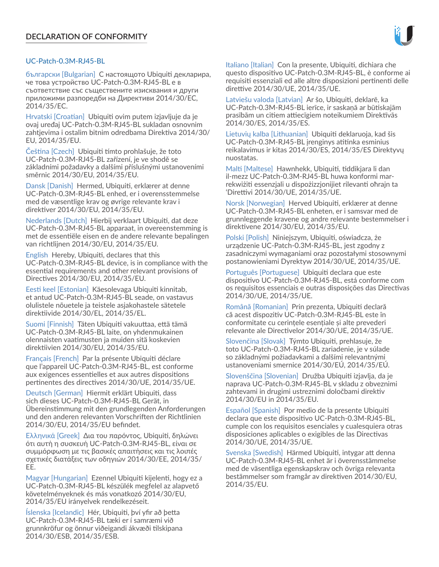

# UC-Patch-0.3M-RJ45-BL

български [Bulgarian] С настоящото Ubiquiti декларира, че това устройство UC-Patch-0.3M-RJ45-BL е в съответствие със съществените изисквания и други приложими разпоредби на Директиви 2014/30/ЕС, 2014/35/ЕС.

Hrvatski [Croatian] Ubiquiti ovim putem izjavljuje da je ovaj uređaj UC-Patch-0.3M-RJ45-BL sukladan osnovnim zahtjevima i ostalim bitnim odredbama Direktiva 2014/30/ EU, 2014/35/EU.

Čeština [Czech] Ubiquiti tímto prohlašuje, že toto UC-Patch-0.3M-RJ45-BL zařízení, je ve shodě se základními požadavky a dalšími příslušnými ustanoveními směrnic 2014/30/EU, 2014/35/EU.

Dansk [Danish] Hermed, Ubiquiti, erklærer at denne UC-Patch-0.3M-RJ45-BL enhed, er i overensstemmelse med de væsentlige krav og øvrige relevante krav i direktiver 2014/30/EU, 2014/35/EU.

Nederlands [Dutch] Hierbij verklaart Ubiquiti, dat deze UC-Patch-0.3M-RJ45-BL apparaat, in overeenstemming is met de essentiële eisen en de andere relevante bepalingen van richtlijnen 2014/30/EU, 2014/35/EU.

English Hereby, Ubiquiti, declares that this UC-Patch-0.3M-RJ45-BL device, is in compliance with the essential requirements and other relevant provisions of Directives 2014/30/EU, 2014/35/EU.

Eesti keel [Estonian] Käesolevaga Ubiquiti kinnitab, et antud UC-Patch-0.3M-RJ45-BL seade, on vastavus olulistele nõuetele ja teistele asjakohastele sätetele direktiivide 2014/30/EL, 2014/35/EL.

Suomi [Finnish] Täten Ubiquiti vakuuttaa, että tämä UC-Patch-0.3M-RJ45-BL laite, on yhdenmukainen olennaisten vaatimusten ja muiden sitä koskevien direktiivien 2014/30/EU, 2014/35/EU.

Français [French] Par la présente Ubiquiti déclare que l'appareil UC-Patch-0.3M-RJ45-BL, est conforme aux exigences essentielles et aux autres dispositions pertinentes des directives 2014/30/UE, 2014/35/UE.

Deutsch [German] Hiermit erklärt Ubiquiti, dass sich dieses UC-Patch-0.3M-RJ45-BL Gerät, in Übereinstimmung mit den grundlegenden Anforderungen und den anderen relevanten Vorschriften der Richtlinien 2014/30/EU, 2014/35/EU befindet.

Ελληνικά [Greek] Δια του παρόντος, Ubiquiti, δηλώνει ότι αυτή η συσκευή UC-Patch-0.3M-RJ45-BL, είναι σε συμμόρφωση με τις βασικές απαιτήσεις και τις λοιπές σχετικές διατάξεις των οδηγιών 2014/30/EE, 2014/35/ EE.

Magyar [Hungarian] Ezennel Ubiquiti kijelenti, hogy ez a UC-Patch-0.3M-RJ45-BL készülék megfelel az alapvető követelményeknek és más vonatkozó 2014/30/EU, 2014/35/EU irányelvek rendelkezéseit.

Íslenska [Icelandic] Hér, Ubiquiti, því yfir að þetta UC-Patch-0.3M-RJ45-BL tæki er í samræmi við grunnkröfur og önnur viðeigandi ákvæði tilskipana 2014/30/ESB, 2014/35/ESB.

Italiano [Italian] Con la presente, Ubiquiti, dichiara che questo dispositivo UC-Patch-0.3M-RJ45-BL, è conforme ai requisiti essenziali ed alle altre disposizioni pertinenti delle direttive 2014/30/UE, 2014/35/UE.

Latviešu valoda [Latvian] Ar šo, Ubiquiti, deklarē, ka UC-Patch-0.3M-RJ45-BL ierīce, ir saskaņā ar būtiskajām prasībām un citiem attiecīgiem noteikumiem Direktīvās 2014/30/ES, 2014/35/ES.

Lietuvių kalba [Lithuanian] Ubiquiti deklaruoja, kad šis UC-Patch-0.3M-RJ45-BL įrenginys atitinka esminius reikalavimus ir kitas 2014/30/ES, 2014/35/ES Direktyvų nuostatas.

Malti [Maltese] Hawnhekk, Ubiquiti, tiddikjara li dan il-mezz UC-Patch-0.3M-RJ45-BL huwa konformi marrekwiżiti essenzjali u dispożizzjonijiet rilevanti oħrajn ta 'Direttivi 2014/30/UE, 2014/35/UE.

Norsk [Norwegian] Herved Ubiquiti, erklærer at denne UC-Patch-0.3M-RJ45-BL enheten, er i samsvar med de grunnleggende kravene og andre relevante bestemmelser i direktivene 2014/30/EU, 2014/35/EU.

Polski [Polish] Niniejszym, Ubiquiti, oświadcza, że urządzenie UC-Patch-0.3M-RJ45-BL, jest zgodny z zasadniczymi wymaganiami oraz pozostałymi stosownymi postanowieniami Dyrektyw 2014/30/UE, 2014/35/UE.

Português [Portuguese] Ubiquiti declara que este dispositivo UC-Patch-0.3M-RJ45-BL, está conforme com os requisitos essenciais e outras disposições das Directivas 2014/30/UE, 2014/35/UE.

Română [Romanian] Prin prezenta, Ubiquiti declară că acest dispozitiv UC-Patch-0.3M-RJ45-BL este în conformitate cu cerințele esențiale și alte prevederi relevante ale Directivelor 2014/30/UE, 2014/35/UE.

Slovenčina [Slovak] Týmto Ubiquiti, prehlasuje, že toto UC-Patch-0.3M-RJ45-BL zariadenie, je v súlade so základnými požiadavkami a ďalšími relevantnými ustanoveniami smernice 2014/30/EÚ, 2014/35/EÚ.

Slovenščina [Slovenian] Družba Ubiquiti izjavlja, da je naprava UC-Patch-0.3M-RJ45-BL v skladu z obveznimi zahtevami in drugimi ustreznimi določbami direktiv 2014/30/EU in 2014/35/EU.

Español [Spanish] Por medio de la presente Ubiquiti declara que este dispositivo UC-Patch-0.3M-RJ45-BL, cumple con los requisitos esenciales y cualesquiera otras disposiciones aplicables o exigibles de las Directivas 2014/30/UE, 2014/35/UE.

Svenska [Swedish] Härmed Ubiquiti, intygar att denna UC-Patch-0.3M-RJ45-BL enhet är i överensstämmelse med de väsentliga egenskapskrav och övriga relevanta bestämmelser som framgår av direktiven 2014/30/EU, 2014/35/EU.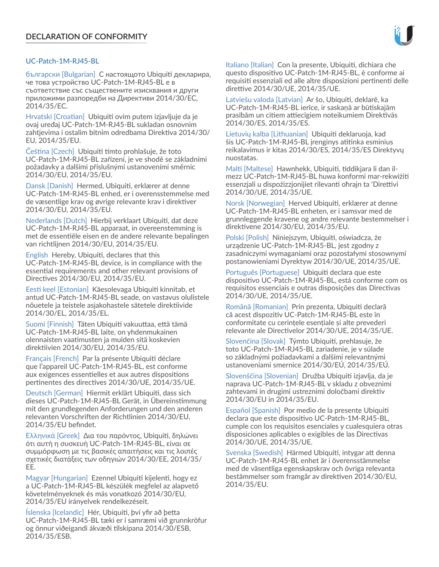# UC-Patch-1M-RJ45-BL

български [Bulgarian] С настоящото Ubiquiti декларира, че това устройство UC-Patch-1M-RJ45-BL е в съответствие със съществените изисквания и други приложими разпоредби на Директиви 2014/30/ЕС, 2014/35/ЕС.

Hrvatski [Croatian] Ubiquiti ovim putem izjavljuje da je ovaj uređaj UC-Patch-1M-RJ45-BL sukladan osnovnim zahtjevima i ostalim bitnim odredbama Direktiva 2014/30/ EU, 2014/35/EU.

Čeština [Czech] Ubiquiti tímto prohlašuje, že toto UC-Patch-1M-RJ45-BL zařízení, je ve shodě se základními požadavky a dalšími příslušnými ustanoveními směrnic 2014/30/EU, 2014/35/EU.

Dansk [Danish] Hermed, Ubiquiti, erklærer at denne UC-Patch-1M-RJ45-BL enhed, er i overensstemmelse med de væsentlige krav og øvrige relevante krav i direktiver 2014/30/EU, 2014/35/EU.

Nederlands [Dutch] Hierbij verklaart Ubiquiti, dat deze UC-Patch-1M-RJ45-BL apparaat, in overeenstemming is met de essentiële eisen en de andere relevante bepalingen van richtlijnen 2014/30/EU, 2014/35/EU.

English Hereby, Ubiquiti, declares that this UC-Patch-1M-RJ45-BL device, is in compliance with the essential requirements and other relevant provisions of Directives 2014/30/EU, 2014/35/EU.

Eesti keel [Estonian] Käesolevaga Ubiquiti kinnitab, et antud UC-Patch-1M-RJ45-BL seade, on vastavus olulistele nõuetele ja teistele asjakohastele sätetele direktiivide 2014/30/EL, 2014/35/EL.

Suomi [Finnish] Täten Ubiquiti vakuuttaa, että tämä UC-Patch-1M-RJ45-BL laite, on yhdenmukainen olennaisten vaatimusten ja muiden sitä koskevien direktiivien 2014/30/EU, 2014/35/EU.

Français [French] Par la présente Ubiquiti déclare que l'appareil UC-Patch-1M-RJ45-BL, est conforme aux exigences essentielles et aux autres dispositions pertinentes des directives 2014/30/UE, 2014/35/UE.

Deutsch [German] Hiermit erklärt Ubiquiti, dass sich dieses UC-Patch-1M-RJ45-BL Gerät, in Übereinstimmung mit den grundlegenden Anforderungen und den anderen relevanten Vorschriften der Richtlinien 2014/30/EU, 2014/35/EU befindet.

Ελληνικά [Greek] Δια του παρόντος, Ubiquiti, δηλώνει ότι αυτή η συσκευή UC-Patch-1M-RJ45-BL, είναι σε συμμόρφωση με τις βασικές απαιτήσεις και τις λοιπές σχετικές διατάξεις των οδηγιών 2014/30/EE, 2014/35/ EE.

Magyar [Hungarian] Ezennel Ubiquiti kijelenti, hogy ez a UC-Patch-1M-RJ45-BL készülék megfelel az alapvető követelményeknek és más vonatkozó 2014/30/EU, 2014/35/EU irányelvek rendelkezéseit.

Íslenska [Icelandic] Hér, Ubiquiti, því yfir að þetta UC-Patch-1M-RJ45-BL tæki er í samræmi við grunnkröfur og önnur viðeigandi ákvæði tilskipana 2014/30/ESB, 2014/35/ESB.

Italiano [Italian] Con la presente, Ubiquiti, dichiara che questo dispositivo UC-Patch-1M-RJ45-BL, è conforme ai requisiti essenziali ed alle altre disposizioni pertinenti delle direttive 2014/30/UE, 2014/35/UE.

Latviešu valoda [Latvian] Ar šo, Ubiquiti, deklarē, ka UC-Patch-1M-RJ45-BL ierīce, ir saskaņā ar būtiskajām prasībām un citiem attiecīgiem noteikumiem Direktīvās 2014/30/ES, 2014/35/ES.

Lietuvių kalba [Lithuanian] Ubiquiti deklaruoja, kad šis UC-Patch-1M-RJ45-BL įrenginys atitinka esminius reikalavimus ir kitas 2014/30/ES, 2014/35/ES Direktyvų nuostatas.

Malti [Maltese] Hawnhekk, Ubiquiti, tiddikjara li dan ilmezz UC-Patch-1M-RJ45-BL huwa konformi mar-rekwiżiti essenzjali u dispożizzjonijiet rilevanti oħrajn ta 'Direttivi 2014/30/UE, 2014/35/UE.

Norsk [Norwegian] Herved Ubiquiti, erklærer at denne UC-Patch-1M-RJ45-BL enheten, er i samsvar med de grunnleggende kravene og andre relevante bestemmelser i direktivene 2014/30/EU, 2014/35/EU.

Polski [Polish] Niniejszym, Ubiquiti, oświadcza, że urządzenie UC-Patch-1M-RJ45-BL, jest zgodny z zasadniczymi wymaganiami oraz pozostałymi stosownymi postanowieniami Dyrektyw 2014/30/UE, 2014/35/UE.

Português [Portuguese] Ubiquiti declara que este dispositivo UC-Patch-1M-RJ45-BL, está conforme com os requisitos essenciais e outras disposições das Directivas 2014/30/UE, 2014/35/UE.

Română [Romanian] Prin prezenta, Ubiquiti declară că acest dispozitiv UC-Patch-1M-RJ45-BL este în conformitate cu cerințele esențiale și alte prevederi relevante ale Directivelor 2014/30/UE, 2014/35/UE.

Slovenčina [Slovak] Týmto Ubiquiti, prehlasuje, že toto UC-Patch-1M-RJ45-BL zariadenie, je v súlade so základnými požiadavkami a ďalšími relevantnými ustanoveniami smernice 2014/30/EÚ, 2014/35/EÚ.

Slovenščina [Slovenian] Družba Ubiquiti izjavlja, da je naprava UC-Patch-1M-RJ45-BL v skladu z obveznimi zahtevami in drugimi ustreznimi določbami direktiv 2014/30/EU in 2014/35/EU.

Español [Spanish] Por medio de la presente Ubiquiti declara que este dispositivo UC-Patch-1M-RJ45-BL, cumple con los requisitos esenciales y cualesquiera otras disposiciones aplicables o exigibles de las Directivas 2014/30/UE, 2014/35/UE.

Svenska [Swedish] Härmed Ubiquiti, intygar att denna UC-Patch-1M-RJ45-BL enhet är i överensstämmelse med de väsentliga egenskapskrav och övriga relevanta bestämmelser som framgår av direktiven 2014/30/EU, 2014/35/EU.

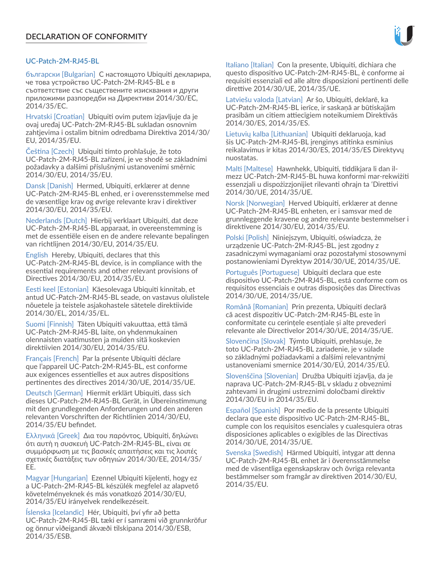# UC-Patch-2M-RJ45-BL

български [Bulgarian] С настоящото Ubiquiti декларира, че това устройство UC-Patch-2M-RJ45-BL е в съответствие със съществените изисквания и други приложими разпоредби на Директиви 2014/30/ЕС, 2014/35/ЕС.

Hrvatski [Croatian] Ubiquiti ovim putem izjavljuje da je ovaj uređaj UC-Patch-2M-RJ45-BL sukladan osnovnim zahtjevima i ostalim bitnim odredbama Direktiva 2014/30/ EU, 2014/35/EU.

Čeština [Czech] Ubiquiti tímto prohlašuje, že toto UC-Patch-2M-RJ45-BL zařízení, je ve shodě se základními požadavky a dalšími příslušnými ustanoveními směrnic 2014/30/EU, 2014/35/EU.

Dansk [Danish] Hermed, Ubiquiti, erklærer at denne UC-Patch-2M-RJ45-BL enhed, er i overensstemmelse med de væsentlige krav og øvrige relevante krav i direktiver 2014/30/EU, 2014/35/EU.

Nederlands [Dutch] Hierbij verklaart Ubiquiti, dat deze UC-Patch-2M-RJ45-BL apparaat, in overeenstemming is met de essentiële eisen en de andere relevante bepalingen van richtlijnen 2014/30/EU, 2014/35/EU.

English Hereby, Ubiquiti, declares that this UC-Patch-2M-RJ45-BL device, is in compliance with the essential requirements and other relevant provisions of Directives 2014/30/EU, 2014/35/EU.

Eesti keel [Estonian] Käesolevaga Ubiquiti kinnitab, et antud UC-Patch-2M-RJ45-BL seade, on vastavus olulistele nõuetele ja teistele asjakohastele sätetele direktiivide 2014/30/EL, 2014/35/EL.

Suomi [Finnish] Täten Ubiquiti vakuuttaa, että tämä UC-Patch-2M-RJ45-BL laite, on yhdenmukainen olennaisten vaatimusten ja muiden sitä koskevien direktiivien 2014/30/EU, 2014/35/EU.

Français [French] Par la présente Ubiquiti déclare que l'appareil UC-Patch-2M-RJ45-BL, est conforme aux exigences essentielles et aux autres dispositions pertinentes des directives 2014/30/UE, 2014/35/UE.

Deutsch [German] Hiermit erklärt Ubiquiti, dass sich dieses UC-Patch-2M-RJ45-BL Gerät, in Übereinstimmung mit den grundlegenden Anforderungen und den anderen relevanten Vorschriften der Richtlinien 2014/30/EU, 2014/35/EU befindet.

Ελληνικά [Greek] Δια του παρόντος, Ubiquiti, δηλώνει ότι αυτή η συσκευή UC-Patch-2M-RJ45-BL, είναι σε συμμόρφωση με τις βασικές απαιτήσεις και τις λοιπές σχετικές διατάξεις των οδηγιών 2014/30/EE, 2014/35/ EE.

Magyar [Hungarian] Ezennel Ubiquiti kijelenti, hogy ez a UC-Patch-2M-RJ45-BL készülék megfelel az alapvető követelményeknek és más vonatkozó 2014/30/EU, 2014/35/EU irányelvek rendelkezéseit.

Íslenska [Icelandic] Hér, Ubiquiti, því yfir að þetta UC-Patch-2M-RJ45-BL tæki er í samræmi við grunnkröfur og önnur viðeigandi ákvæði tilskipana 2014/30/ESB, 2014/35/ESB.

Italiano [Italian] Con la presente, Ubiquiti, dichiara che questo dispositivo UC-Patch-2M-RJ45-BL, è conforme ai requisiti essenziali ed alle altre disposizioni pertinenti delle direttive 2014/30/UE, 2014/35/UE.

Latviešu valoda [Latvian] Ar šo, Ubiquiti, deklarē, ka UC-Patch-2M-RJ45-BL ierīce, ir saskaņā ar būtiskajām prasībām un citiem attiecīgiem noteikumiem Direktīvās 2014/30/ES, 2014/35/ES.

Lietuvių kalba [Lithuanian] Ubiquiti deklaruoja, kad šis UC-Patch-2M-RJ45-BL įrenginys atitinka esminius reikalavimus ir kitas 2014/30/ES, 2014/35/ES Direktyvų nuostatas.

Malti [Maltese] Hawnhekk, Ubiquiti, tiddikjara li dan ilmezz UC-Patch-2M-RJ45-BL huwa konformi mar-rekwiżiti essenzjali u dispożizzjonijiet rilevanti oħrajn ta 'Direttivi 2014/30/UE, 2014/35/UE.

Norsk [Norwegian] Herved Ubiquiti, erklærer at denne UC-Patch-2M-RJ45-BL enheten, er i samsvar med de grunnleggende kravene og andre relevante bestemmelser i direktivene 2014/30/EU, 2014/35/EU.

Polski [Polish] Niniejszym, Ubiquiti, oświadcza, że urządzenie UC-Patch-2M-RJ45-BL, jest zgodny z zasadniczymi wymaganiami oraz pozostałymi stosownymi postanowieniami Dyrektyw 2014/30/UE, 2014/35/UE.

Português [Portuguese] Ubiquiti declara que este dispositivo UC-Patch-2M-RJ45-BL, está conforme com os requisitos essenciais e outras disposições das Directivas 2014/30/UE, 2014/35/UE.

Română [Romanian] Prin prezenta, Ubiquiti declară că acest dispozitiv UC-Patch-2M-RJ45-BL este în conformitate cu cerințele esențiale și alte prevederi relevante ale Directivelor 2014/30/UE, 2014/35/UE.

Slovenčina [Slovak] Týmto Ubiquiti, prehlasuje, že toto UC-Patch-2M-RJ45-BL zariadenie, je v súlade so základnými požiadavkami a ďalšími relevantnými ustanoveniami smernice 2014/30/EÚ, 2014/35/EÚ.

Slovenščina [Slovenian] Družba Ubiquiti izjavlja, da je naprava UC-Patch-2M-RJ45-BL v skladu z obveznimi zahtevami in drugimi ustreznimi določbami direktiv 2014/30/EU in 2014/35/EU.

Español [Spanish] Por medio de la presente Ubiquiti declara que este dispositivo UC-Patch-2M-RJ45-BL, cumple con los requisitos esenciales y cualesquiera otras disposiciones aplicables o exigibles de las Directivas 2014/30/UE, 2014/35/UE.

Svenska [Swedish] Härmed Ubiquiti, intygar att denna UC-Patch-2M-RJ45-BL enhet är i överensstämmelse med de väsentliga egenskapskrav och övriga relevanta bestämmelser som framgår av direktiven 2014/30/EU, 2014/35/EU.

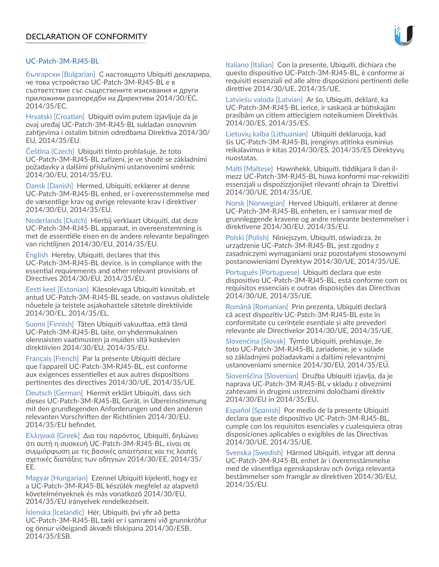# UC-Patch-3M-RJ45-BL

български [Bulgarian] С настоящото Ubiquiti декларира, че това устройство UC-Patch-3M-RJ45-BL е в съответствие със съществените изисквания и други приложими разпоредби на Директиви 2014/30/ЕС, 2014/35/ЕС.

Hrvatski [Croatian] Ubiquiti ovim putem izjavljuje da je ovaj uređaj UC-Patch-3M-RJ45-BL sukladan osnovnim zahtjevima i ostalim bitnim odredbama Direktiva 2014/30/ EU, 2014/35/EU.

Čeština [Czech] Ubiquiti tímto prohlašuje, že toto UC-Patch-3M-RJ45-BL zařízení, je ve shodě se základními požadavky a dalšími příslušnými ustanoveními směrnic 2014/30/EU, 2014/35/EU.

Dansk [Danish] Hermed, Ubiquiti, erklærer at denne UC-Patch-3M-RJ45-BL enhed, er i overensstemmelse med de væsentlige krav og øvrige relevante krav i direktiver 2014/30/EU, 2014/35/EU.

Nederlands [Dutch] Hierbij verklaart Ubiquiti, dat deze UC-Patch-3M-RJ45-BL apparaat, in overeenstemming is met de essentiële eisen en de andere relevante bepalingen van richtlijnen 2014/30/EU, 2014/35/EU.

English Hereby, Ubiquiti, declares that this UC-Patch-3M-RJ45-BL device, is in compliance with the essential requirements and other relevant provisions of Directives 2014/30/EU, 2014/35/EU.

Eesti keel [Estonian] Käesolevaga Ubiquiti kinnitab, et antud UC-Patch-3M-RJ45-BL seade, on vastavus olulistele nõuetele ja teistele asjakohastele sätetele direktiivide 2014/30/EL, 2014/35/EL.

Suomi [Finnish] Täten Ubiquiti vakuuttaa, että tämä UC-Patch-3M-RJ45-BL laite, on yhdenmukainen olennaisten vaatimusten ja muiden sitä koskevien direktiivien 2014/30/EU, 2014/35/EU.

Français [French] Par la présente Ubiquiti déclare que l'appareil UC-Patch-3M-RJ45-BL, est conforme aux exigences essentielles et aux autres dispositions pertinentes des directives 2014/30/UE, 2014/35/UE.

Deutsch [German] Hiermit erklärt Ubiquiti, dass sich dieses UC-Patch-3M-RJ45-BL Gerät, in Übereinstimmung mit den grundlegenden Anforderungen und den anderen relevanten Vorschriften der Richtlinien 2014/30/EU, 2014/35/EU befindet.

Ελληνικά [Greek] Δια του παρόντος, Ubiquiti, δηλώνει ότι αυτή η συσκευή UC-Patch-3M-RJ45-BL, είναι σε συμμόρφωση με τις βασικές απαιτήσεις και τις λοιπές σχετικές διατάξεις των οδηγιών 2014/30/EE, 2014/35/ EE.

Magyar [Hungarian] Ezennel Ubiquiti kijelenti, hogy ez a UC-Patch-3M-RJ45-BL készülék megfelel az alapvető követelményeknek és más vonatkozó 2014/30/EU, 2014/35/EU irányelvek rendelkezéseit.

Íslenska [Icelandic] Hér, Ubiquiti, því yfir að þetta UC-Patch-3M-RJ45-BL tæki er í samræmi við grunnkröfur og önnur viðeigandi ákvæði tilskipana 2014/30/ESB, 2014/35/ESB.

Italiano [Italian] Con la presente, Ubiquiti, dichiara che questo dispositivo UC-Patch-3M-RJ45-BL, è conforme ai requisiti essenziali ed alle altre disposizioni pertinenti delle direttive 2014/30/UE, 2014/35/UE.

Latviešu valoda [Latvian] Ar šo, Ubiquiti, deklarē, ka UC-Patch-3M-RJ45-BL ierīce, ir saskaņā ar būtiskajām prasībām un citiem attiecīgiem noteikumiem Direktīvās 2014/30/ES, 2014/35/ES.

Lietuvių kalba [Lithuanian] Ubiquiti deklaruoja, kad šis UC-Patch-3M-RJ45-BL įrenginys atitinka esminius reikalavimus ir kitas 2014/30/ES, 2014/35/ES Direktyvų nuostatas.

Malti [Maltese] Hawnhekk, Ubiquiti, tiddikjara li dan ilmezz UC-Patch-3M-RJ45-BL huwa konformi mar-rekwiżiti essenzjali u dispożizzjonijiet rilevanti oħrajn ta 'Direttivi 2014/30/UE, 2014/35/UE.

Norsk [Norwegian] Herved Ubiquiti, erklærer at denne UC-Patch-3M-RJ45-BL enheten, er i samsvar med de grunnleggende kravene og andre relevante bestemmelser i direktivene 2014/30/EU, 2014/35/EU.

Polski [Polish] Niniejszym, Ubiquiti, oświadcza, że urządzenie UC-Patch-3M-RJ45-BL, jest zgodny z zasadniczymi wymaganiami oraz pozostałymi stosownymi postanowieniami Dyrektyw 2014/30/UE, 2014/35/UE.

Português [Portuguese] Ubiquiti declara que este dispositivo UC-Patch-3M-RJ45-BL, está conforme com os requisitos essenciais e outras disposições das Directivas 2014/30/UE, 2014/35/UE.

Română [Romanian] Prin prezenta, Ubiquiti declară că acest dispozitiv UC-Patch-3M-RJ45-BL este în conformitate cu cerințele esențiale și alte prevederi relevante ale Directivelor 2014/30/UE, 2014/35/UE.

Slovenčina [Slovak] Týmto Ubiquiti, prehlasuje, že toto UC-Patch-3M-RJ45-BL zariadenie, je v súlade so základnými požiadavkami a ďalšími relevantnými ustanoveniami smernice 2014/30/EÚ, 2014/35/EÚ.

Slovenščina [Slovenian] Družba Ubiquiti izjavlja, da je naprava UC-Patch-3M-RJ45-BL v skladu z obveznimi zahtevami in drugimi ustreznimi določbami direktiv 2014/30/EU in 2014/35/EU.

Español [Spanish] Por medio de la presente Ubiquiti declara que este dispositivo UC-Patch-3M-RJ45-BL, cumple con los requisitos esenciales y cualesquiera otras disposiciones aplicables o exigibles de las Directivas 2014/30/UE, 2014/35/UE.

Svenska [Swedish] Härmed Ubiquiti, intygar att denna UC-Patch-3M-RJ45-BL enhet är i överensstämmelse med de väsentliga egenskapskrav och övriga relevanta bestämmelser som framgår av direktiven 2014/30/EU, 2014/35/EU.

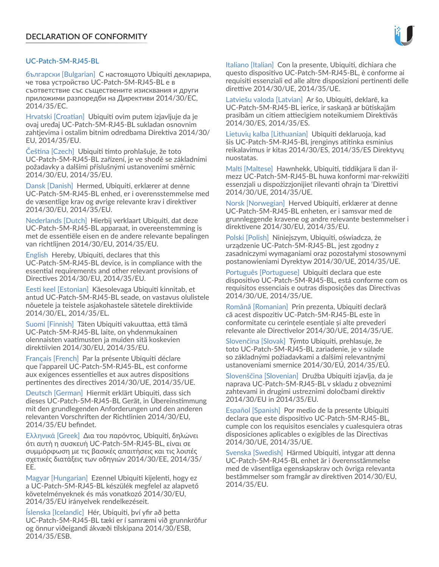# UC-Patch-5M-RJ45-BL

български [Bulgarian] С настоящото Ubiquiti декларира, че това устройство UC-Patch-5M-RJ45-BL е в съответствие със съществените изисквания и други приложими разпоредби на Директиви 2014/30/ЕС, 2014/35/ЕС.

Hrvatski [Croatian] Ubiquiti ovim putem izjavljuje da je ovaj uređaj UC-Patch-5M-RJ45-BL sukladan osnovnim zahtjevima i ostalim bitnim odredbama Direktiva 2014/30/ EU, 2014/35/EU.

Čeština [Czech] Ubiquiti tímto prohlašuje, že toto UC-Patch-5M-RJ45-BL zařízení, je ve shodě se základními požadavky a dalšími příslušnými ustanoveními směrnic 2014/30/EU, 2014/35/EU.

Dansk [Danish] Hermed, Ubiquiti, erklærer at denne UC-Patch-5M-RJ45-BL enhed, er i overensstemmelse med de væsentlige krav og øvrige relevante krav i direktiver 2014/30/EU, 2014/35/EU.

Nederlands [Dutch] Hierbij verklaart Ubiquiti, dat deze UC-Patch-5M-RJ45-BL apparaat, in overeenstemming is met de essentiële eisen en de andere relevante bepalingen van richtlijnen 2014/30/EU, 2014/35/EU.

English Hereby, Ubiquiti, declares that this UC-Patch-5M-RJ45-BL device, is in compliance with the essential requirements and other relevant provisions of Directives 2014/30/EU, 2014/35/EU.

Eesti keel [Estonian] Käesolevaga Ubiquiti kinnitab, et antud UC-Patch-5M-RJ45-BL seade, on vastavus olulistele nõuetele ja teistele asjakohastele sätetele direktiivide 2014/30/EL, 2014/35/EL.

Suomi [Finnish] Täten Ubiquiti vakuuttaa, että tämä UC-Patch-5M-RJ45-BL laite, on yhdenmukainen olennaisten vaatimusten ja muiden sitä koskevien direktiivien 2014/30/EU, 2014/35/EU.

Français [French] Par la présente Ubiquiti déclare que l'appareil UC-Patch-5M-RJ45-BL, est conforme aux exigences essentielles et aux autres dispositions pertinentes des directives 2014/30/UE, 2014/35/UE.

Deutsch [German] Hiermit erklärt Ubiquiti, dass sich dieses UC-Patch-5M-RJ45-BL Gerät, in Übereinstimmung mit den grundlegenden Anforderungen und den anderen relevanten Vorschriften der Richtlinien 2014/30/EU, 2014/35/EU befindet.

Ελληνικά [Greek] Δια του παρόντος, Ubiquiti, δηλώνει ότι αυτή η συσκευή UC-Patch-5M-RJ45-BL, είναι σε συμμόρφωση με τις βασικές απαιτήσεις και τις λοιπές σχετικές διατάξεις των οδηγιών 2014/30/EE, 2014/35/ EE.

Magyar [Hungarian] Ezennel Ubiquiti kijelenti, hogy ez a UC-Patch-5M-RJ45-BL készülék megfelel az alapvető követelményeknek és más vonatkozó 2014/30/EU, 2014/35/EU irányelvek rendelkezéseit.

Íslenska [Icelandic] Hér, Ubiquiti, því yfir að þetta UC-Patch-5M-RJ45-BL tæki er í samræmi við grunnkröfur og önnur viðeigandi ákvæði tilskipana 2014/30/ESB, 2014/35/ESB.

Italiano [Italian] Con la presente, Ubiquiti, dichiara che questo dispositivo UC-Patch-5M-RJ45-BL, è conforme ai requisiti essenziali ed alle altre disposizioni pertinenti delle direttive 2014/30/UE, 2014/35/UE.

Latviešu valoda [Latvian] Ar šo, Ubiquiti, deklarē, ka UC-Patch-5M-RJ45-BL ierīce, ir saskaņā ar būtiskajām prasībām un citiem attiecīgiem noteikumiem Direktīvās 2014/30/ES, 2014/35/ES.

Lietuvių kalba [Lithuanian] Ubiquiti deklaruoja, kad šis UC-Patch-5M-RJ45-BL įrenginys atitinka esminius reikalavimus ir kitas 2014/30/ES, 2014/35/ES Direktyvų nuostatas.

Malti [Maltese] Hawnhekk, Ubiquiti, tiddikjara li dan ilmezz UC-Patch-5M-RJ45-BL huwa konformi mar-rekwiżiti essenzjali u dispożizzjonijiet rilevanti oħrajn ta 'Direttivi 2014/30/UE, 2014/35/UE.

Norsk [Norwegian] Herved Ubiquiti, erklærer at denne UC-Patch-5M-RJ45-BL enheten, er i samsvar med de grunnleggende kravene og andre relevante bestemmelser i direktivene 2014/30/EU, 2014/35/EU.

Polski [Polish] Niniejszym, Ubiquiti, oświadcza, że urządzenie UC-Patch-5M-RJ45-BL, jest zgodny z zasadniczymi wymaganiami oraz pozostałymi stosownymi postanowieniami Dyrektyw 2014/30/UE, 2014/35/UE.

Português [Portuguese] Ubiquiti declara que este dispositivo UC-Patch-5M-RJ45-BL, está conforme com os requisitos essenciais e outras disposições das Directivas 2014/30/UE, 2014/35/UE.

Română [Romanian] Prin prezenta, Ubiquiti declară că acest dispozitiv UC-Patch-5M-RJ45-BL este în conformitate cu cerințele esențiale și alte prevederi relevante ale Directivelor 2014/30/UE, 2014/35/UE.

Slovenčina [Slovak] Týmto Ubiquiti, prehlasuje, že toto UC-Patch-5M-RJ45-BL zariadenie, je v súlade so základnými požiadavkami a ďalšími relevantnými ustanoveniami smernice 2014/30/EÚ, 2014/35/EÚ.

Slovenščina [Slovenian] Družba Ubiquiti izjavlja, da je naprava UC-Patch-5M-RJ45-BL v skladu z obveznimi zahtevami in drugimi ustreznimi določbami direktiv 2014/30/EU in 2014/35/EU.

Español [Spanish] Por medio de la presente Ubiquiti declara que este dispositivo UC-Patch-5M-RJ45-BL, cumple con los requisitos esenciales y cualesquiera otras disposiciones aplicables o exigibles de las Directivas 2014/30/UE, 2014/35/UE.

Svenska [Swedish] Härmed Ubiquiti, intygar att denna UC-Patch-5M-RJ45-BL enhet är i överensstämmelse med de väsentliga egenskapskrav och övriga relevanta bestämmelser som framgår av direktiven 2014/30/EU, 2014/35/EU.